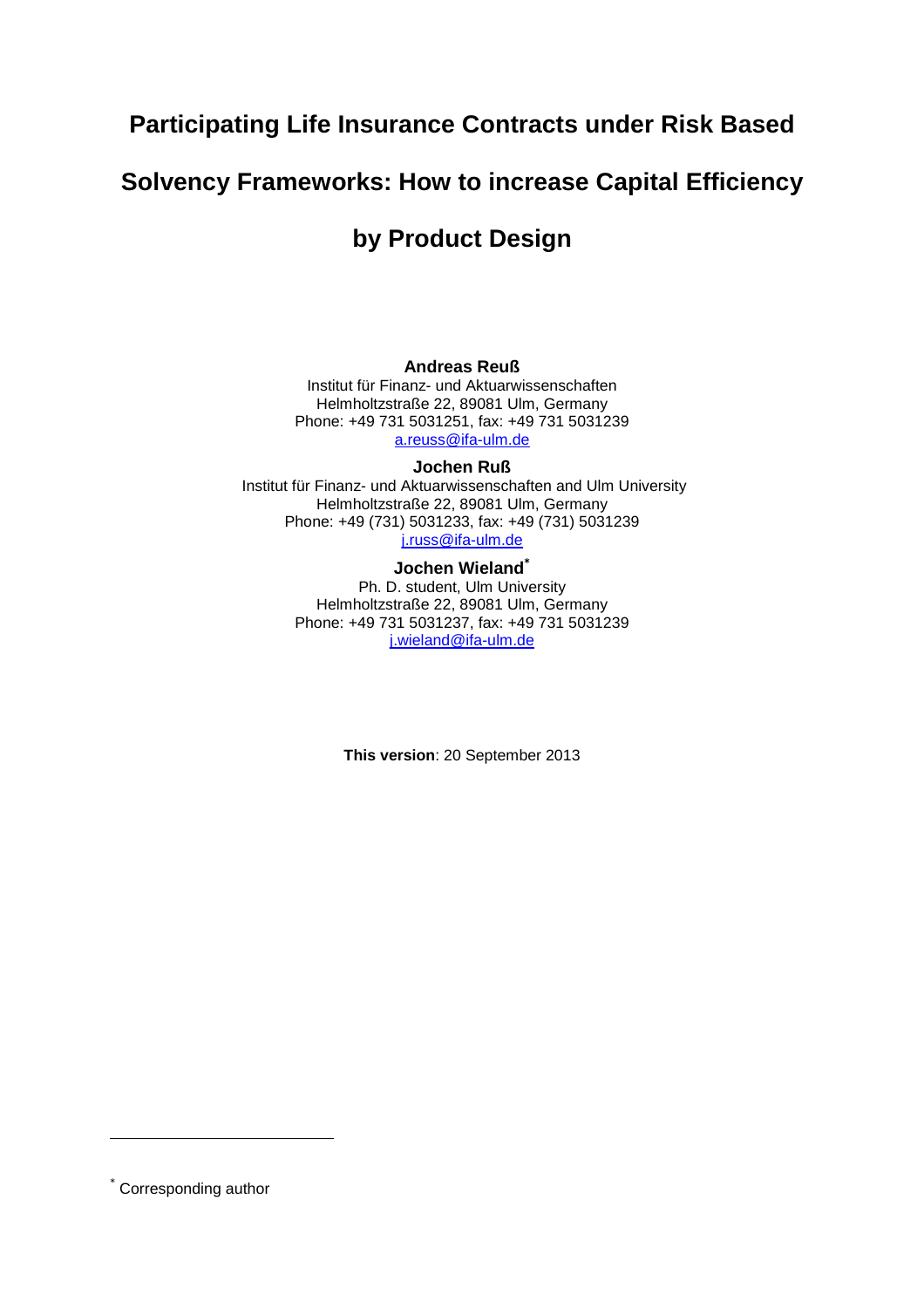# **Participating Life Insurance Contracts under Risk Based**

# **Solvency Frameworks: How to increase Capital Efficiency**

# **by Product Design**

#### **Andreas Reuß**

Institut für Finanz- und Aktuarwissenschaften Helmholtzstraße 22, 89081 Ulm, Germany Phone: +49 731 5031251, fax: +49 731 5031239 a.reuss@ifa-ulm.de

#### **Jochen Ruß**

 Institut für Finanz- und Aktuarwissenschaften and Ulm University Helmholtzstraße 22, 89081 Ulm, Germany Phone: +49 (731) 5031233, fax: +49 (731) 5031239 j.russ@ifa-ulm.de

#### **Jochen Wieland\***

Ph. D. student, Ulm University Helmholtzstraße 22, 89081 Ulm, Germany Phone: +49 731 5031237, fax: +49 731 5031239 j.wieland@ifa-ulm.de

**This version**: 20 September 2013

<sup>\*</sup> Corresponding author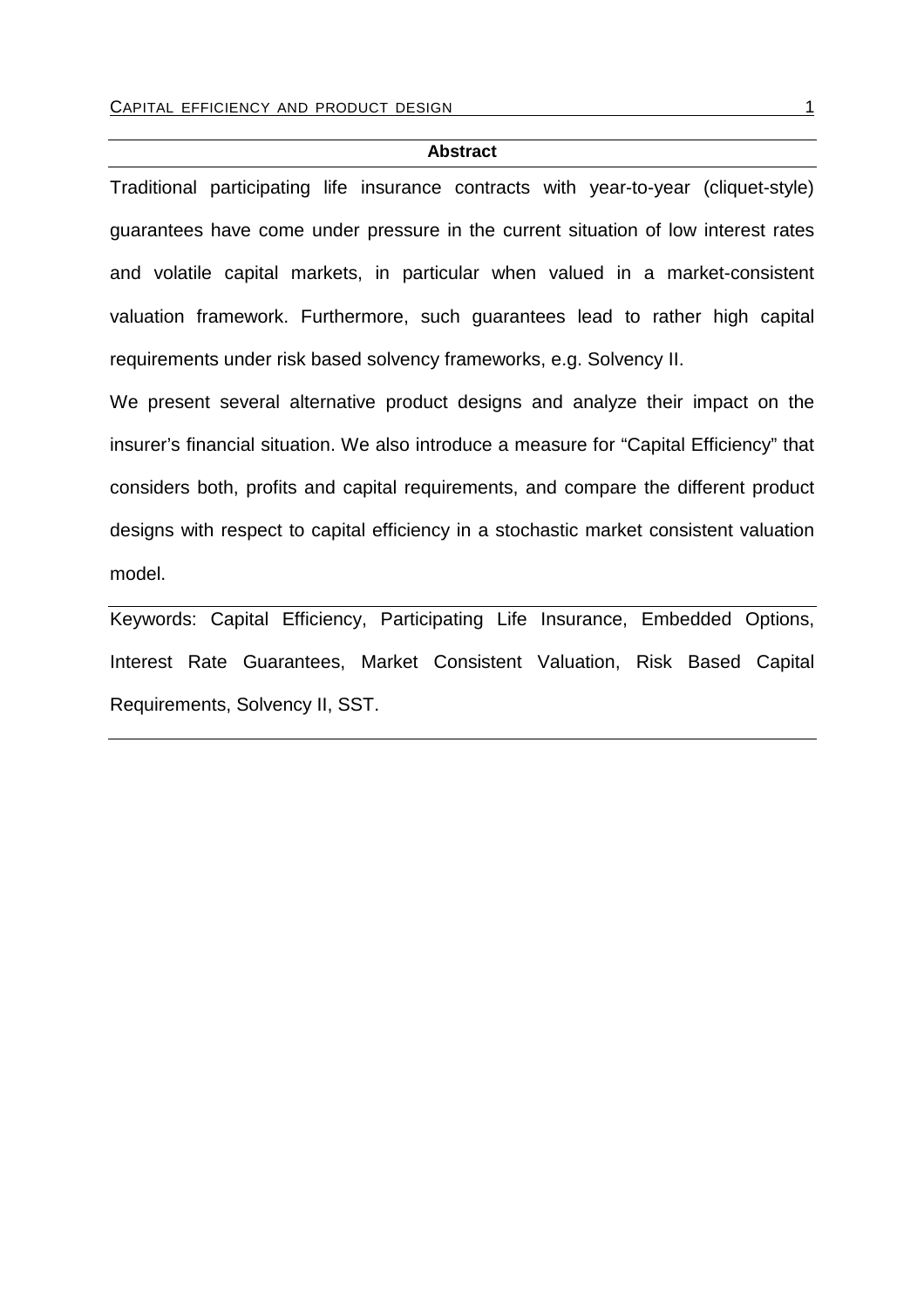#### **Abstract**

Traditional participating life insurance contracts with year-to-year (cliquet-style) guarantees have come under pressure in the current situation of low interest rates and volatile capital markets, in particular when valued in a market-consistent valuation framework. Furthermore, such guarantees lead to rather high capital requirements under risk based solvency frameworks, e.g. Solvency II.

We present several alternative product designs and analyze their impact on the insurer's financial situation. We also introduce a measure for "Capital Efficiency" that considers both, profits and capital requirements, and compare the different product designs with respect to capital efficiency in a stochastic market consistent valuation model.

Keywords: Capital Efficiency, Participating Life Insurance, Embedded Options, Interest Rate Guarantees, Market Consistent Valuation, Risk Based Capital Requirements, Solvency II, SST.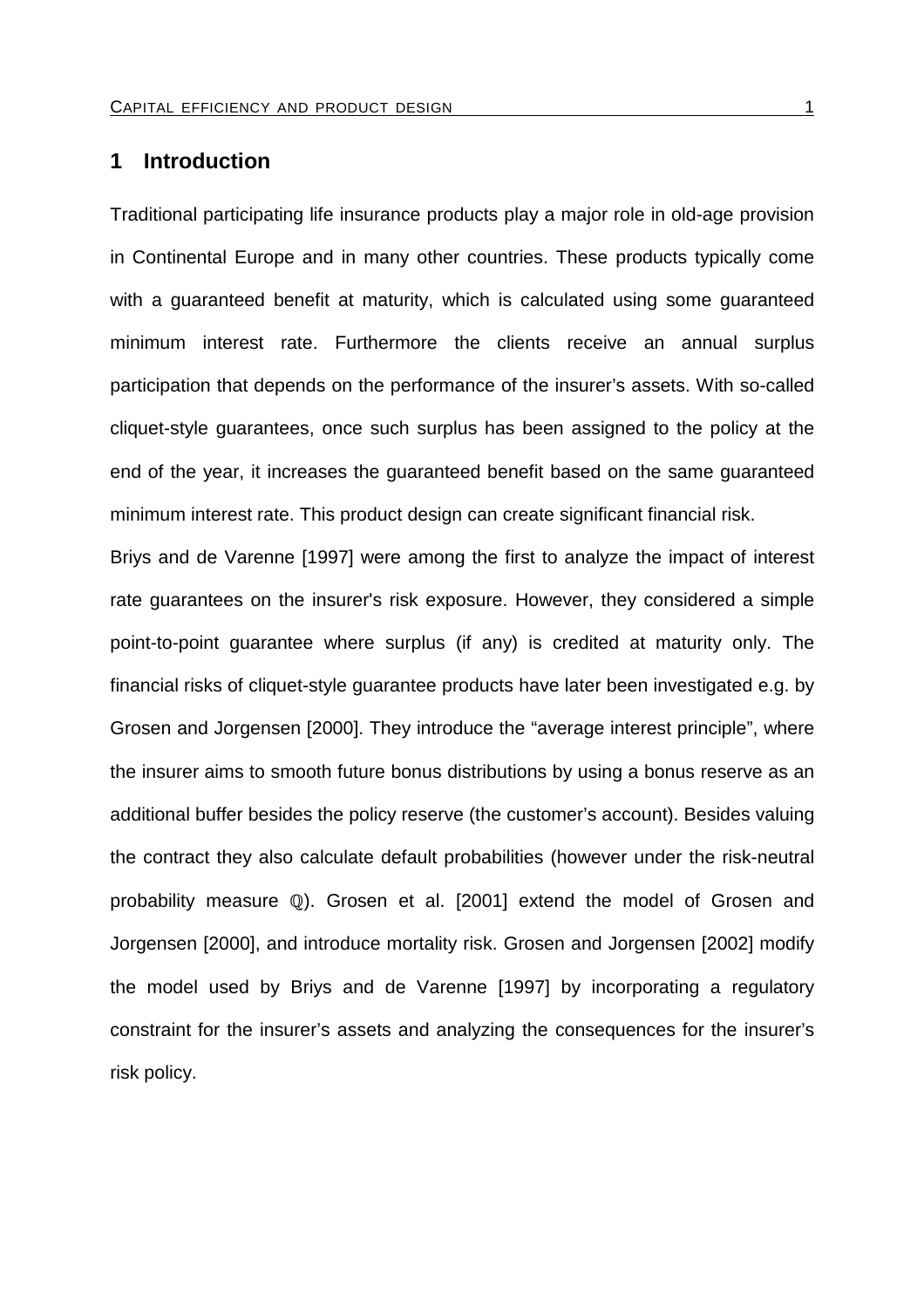# **1 Introduction**

Traditional participating life insurance products play a major role in old-age provision in Continental Europe and in many other countries. These products typically come with a guaranteed benefit at maturity, which is calculated using some guaranteed minimum interest rate. Furthermore the clients receive an annual surplus participation that depends on the performance of the insurer's assets. With so-called cliquet-style guarantees, once such surplus has been assigned to the policy at the end of the year, it increases the guaranteed benefit based on the same guaranteed minimum interest rate. This product design can create significant financial risk.

Briys and de Varenne [1997] were among the first to analyze the impact of interest rate guarantees on the insurer's risk exposure. However, they considered a simple point-to-point guarantee where surplus (if any) is credited at maturity only. The financial risks of cliquet-style guarantee products have later been investigated e.g. by Grosen and Jorgensen [2000]. They introduce the "average interest principle", where the insurer aims to smooth future bonus distributions by using a bonus reserve as an additional buffer besides the policy reserve (the customer's account). Besides valuing the contract they also calculate default probabilities (however under the risk-neutral probability measure (Q). Grosen et al. [2001] extend the model of Grosen and Jorgensen [2000], and introduce mortality risk. Grosen and Jorgensen [2002] modify the model used by Briys and de Varenne [1997] by incorporating a regulatory constraint for the insurer's assets and analyzing the consequences for the insurer's risk policy.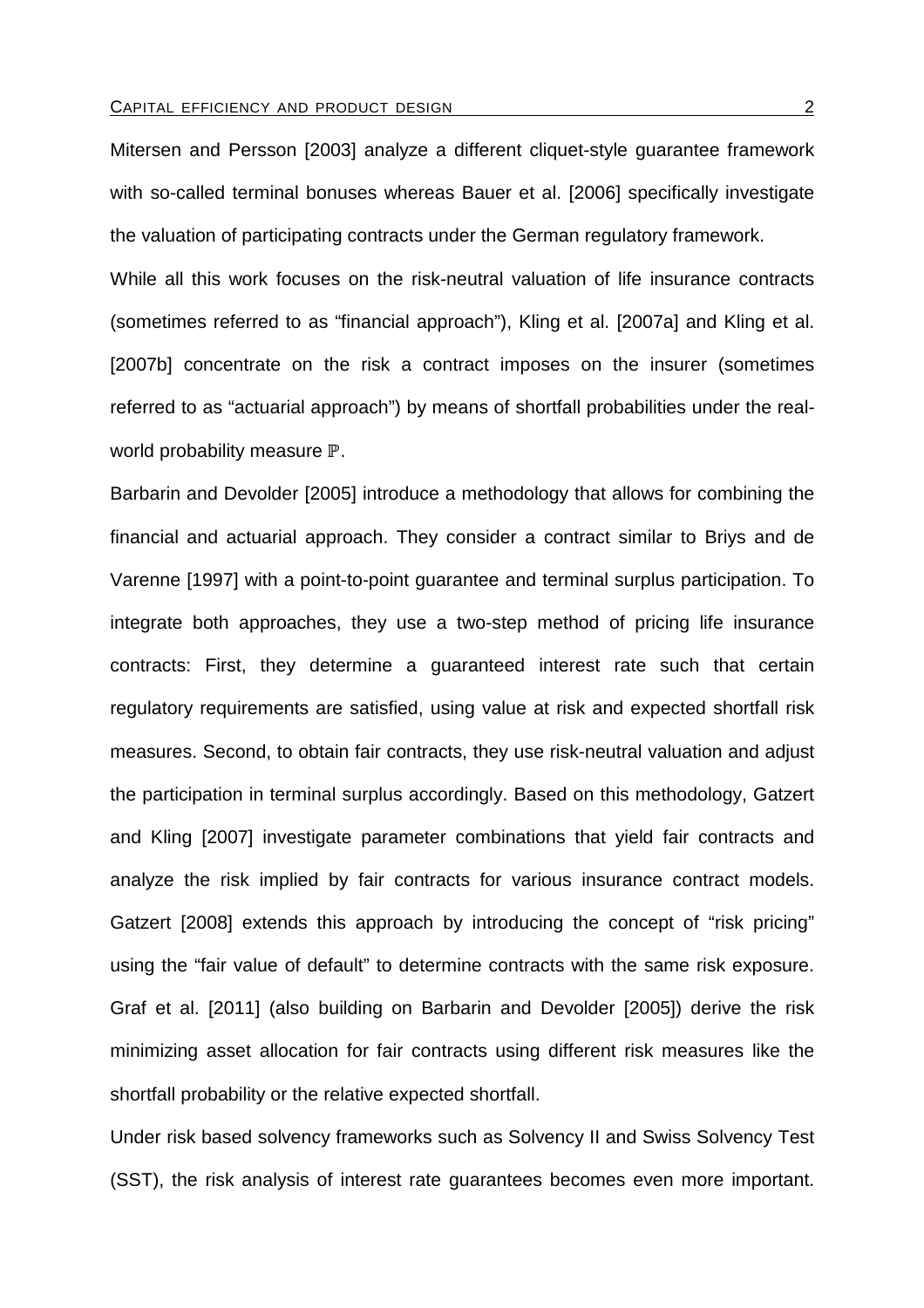Mitersen and Persson [2003] analyze a different cliquet-style guarantee framework with so-called terminal bonuses whereas Bauer et al. [2006] specifically investigate the valuation of participating contracts under the German regulatory framework.

While all this work focuses on the risk-neutral valuation of life insurance contracts (sometimes referred to as "financial approach"), Kling et al. [2007a] and Kling et al. [2007b] concentrate on the risk a contract imposes on the insurer (sometimes referred to as "actuarial approach") by means of shortfall probabilities under the realworld probability measure  ${\mathbb P}.$ 

Barbarin and Devolder [2005] introduce a methodology that allows for combining the financial and actuarial approach. They consider a contract similar to Briys and de Varenne [1997] with a point-to-point guarantee and terminal surplus participation. To integrate both approaches, they use a two-step method of pricing life insurance contracts: First, they determine a guaranteed interest rate such that certain regulatory requirements are satisfied, using value at risk and expected shortfall risk measures. Second, to obtain fair contracts, they use risk-neutral valuation and adjust the participation in terminal surplus accordingly. Based on this methodology, Gatzert and Kling [2007] investigate parameter combinations that yield fair contracts and analyze the risk implied by fair contracts for various insurance contract models. Gatzert [2008] extends this approach by introducing the concept of "risk pricing" using the "fair value of default" to determine contracts with the same risk exposure. Graf et al. [2011] (also building on Barbarin and Devolder [2005]) derive the risk minimizing asset allocation for fair contracts using different risk measures like the shortfall probability or the relative expected shortfall.

Under risk based solvency frameworks such as Solvency II and Swiss Solvency Test (SST), the risk analysis of interest rate guarantees becomes even more important.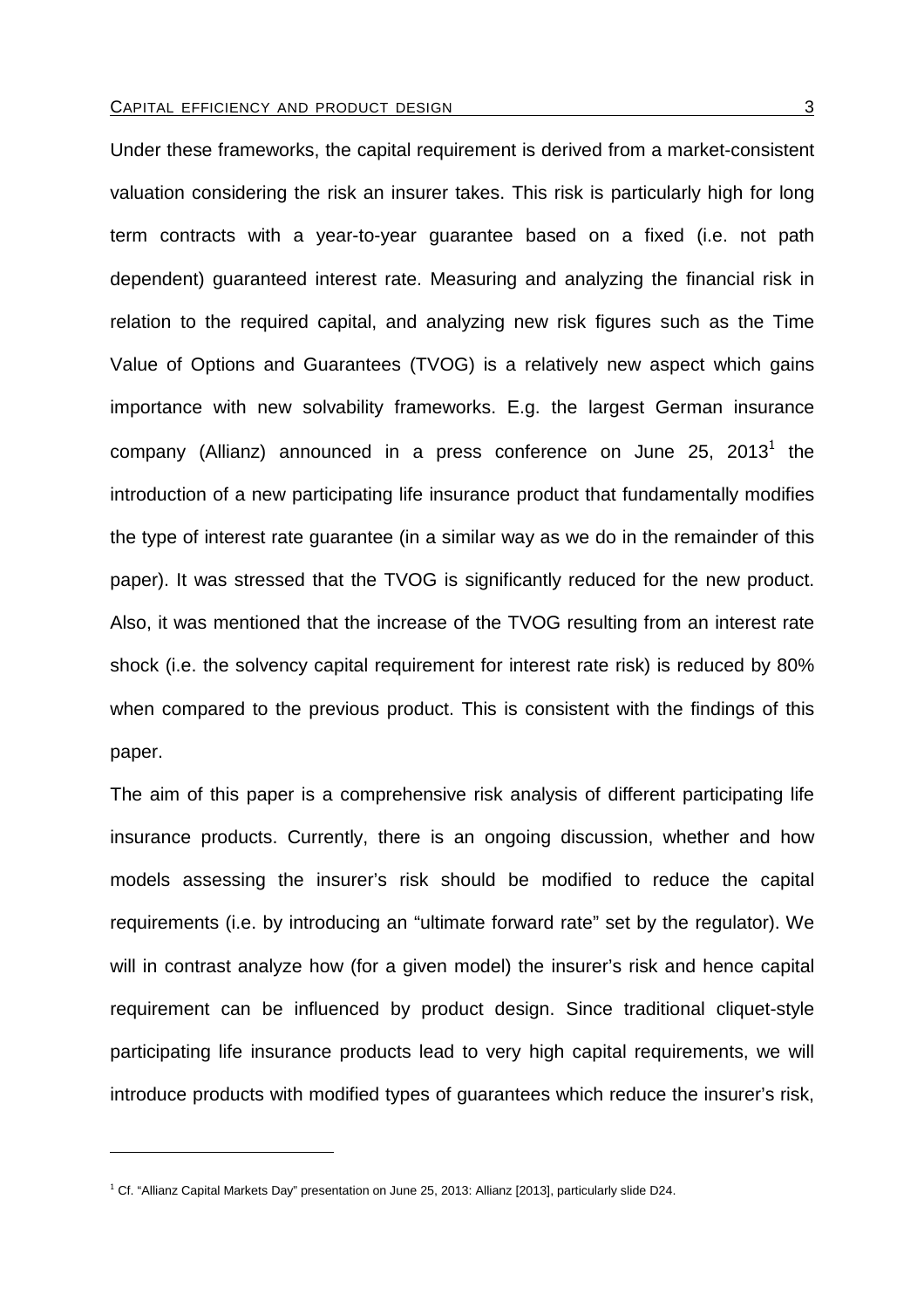Under these frameworks, the capital requirement is derived from a market-consistent valuation considering the risk an insurer takes. This risk is particularly high for long term contracts with a year-to-year guarantee based on a fixed (i.e. not path dependent) guaranteed interest rate. Measuring and analyzing the financial risk in relation to the required capital, and analyzing new risk figures such as the Time Value of Options and Guarantees (TVOG) is a relatively new aspect which gains importance with new solvability frameworks. E.g. the largest German insurance company (Allianz) announced in a press conference on June 25, 2013<sup>1</sup> the introduction of a new participating life insurance product that fundamentally modifies the type of interest rate guarantee (in a similar way as we do in the remainder of this paper). It was stressed that the TVOG is significantly reduced for the new product. Also, it was mentioned that the increase of the TVOG resulting from an interest rate shock (i.e. the solvency capital requirement for interest rate risk) is reduced by 80% when compared to the previous product. This is consistent with the findings of this paper.

The aim of this paper is a comprehensive risk analysis of different participating life insurance products. Currently, there is an ongoing discussion, whether and how models assessing the insurer's risk should be modified to reduce the capital requirements (i.e. by introducing an "ultimate forward rate" set by the regulator). We will in contrast analyze how (for a given model) the insurer's risk and hence capital requirement can be influenced by product design. Since traditional cliquet-style participating life insurance products lead to very high capital requirements, we will introduce products with modified types of guarantees which reduce the insurer's risk,

<sup>&</sup>lt;sup>1</sup> Cf. "Allianz Capital Markets Day" presentation on June 25, 2013: Allianz [2013], particularly slide D24.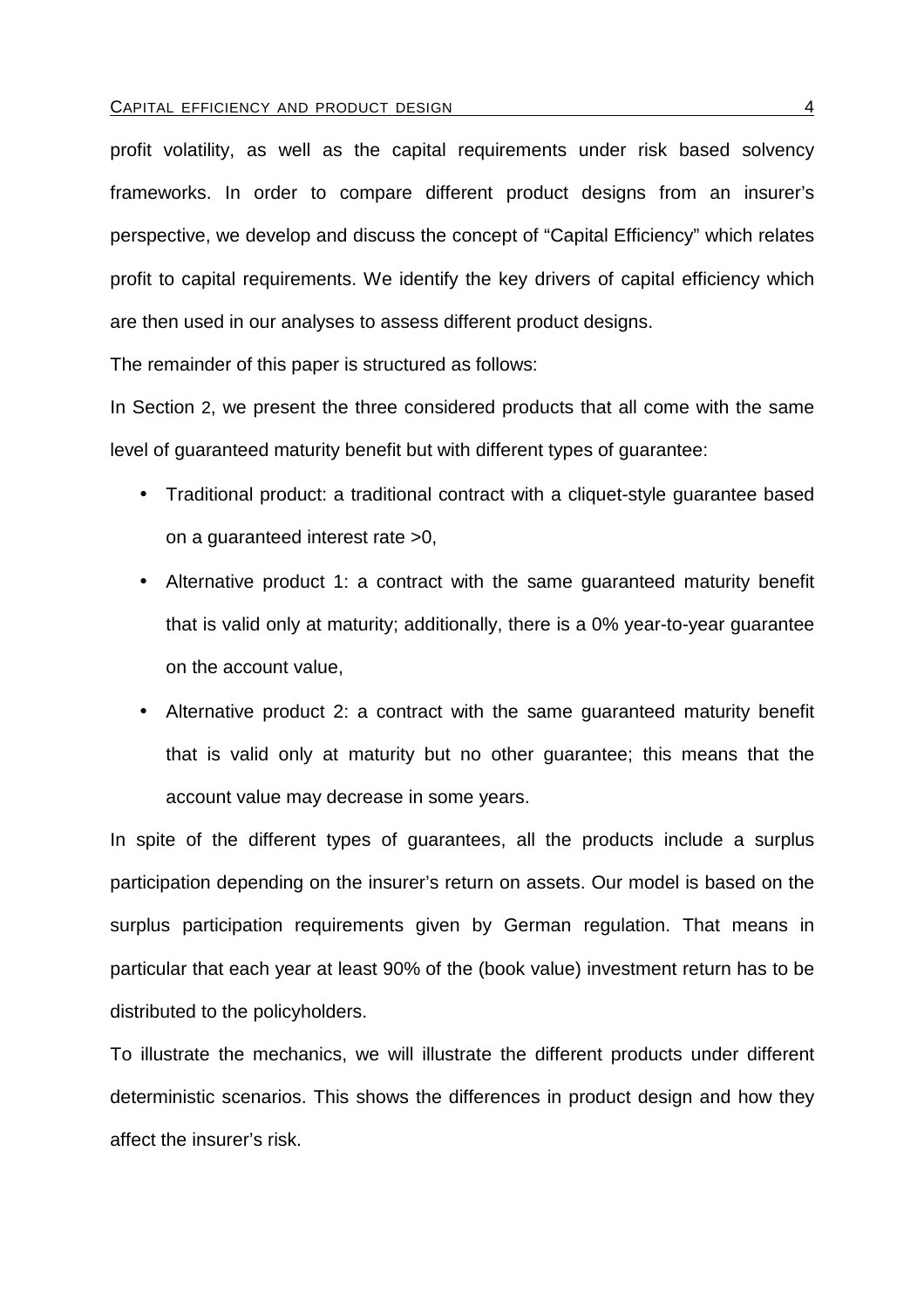#### CAPITAL EFFICIENCY AND PRODUCT DESIGN 4 2001 12 12 22 23 24

profit volatility, as well as the capital requirements under risk based solvency frameworks. In order to compare different product designs from an insurer's perspective, we develop and discuss the concept of "Capital Efficiency" which relates profit to capital requirements. We identify the key drivers of capital efficiency which are then used in our analyses to assess different product designs.

The remainder of this paper is structured as follows:

In Section 2, we present the three considered products that all come with the same level of guaranteed maturity benefit but with different types of guarantee:

- Traditional product: a traditional contract with a cliquet-style guarantee based on a guaranteed interest rate >0,
- Alternative product 1: a contract with the same guaranteed maturity benefit that is valid only at maturity; additionally, there is a 0% year-to-year guarantee on the account value,
- Alternative product 2: a contract with the same guaranteed maturity benefit that is valid only at maturity but no other guarantee; this means that the account value may decrease in some years.

In spite of the different types of guarantees, all the products include a surplus participation depending on the insurer's return on assets. Our model is based on the surplus participation requirements given by German regulation. That means in particular that each year at least 90% of the (book value) investment return has to be distributed to the policyholders.

To illustrate the mechanics, we will illustrate the different products under different deterministic scenarios. This shows the differences in product design and how they affect the insurer's risk.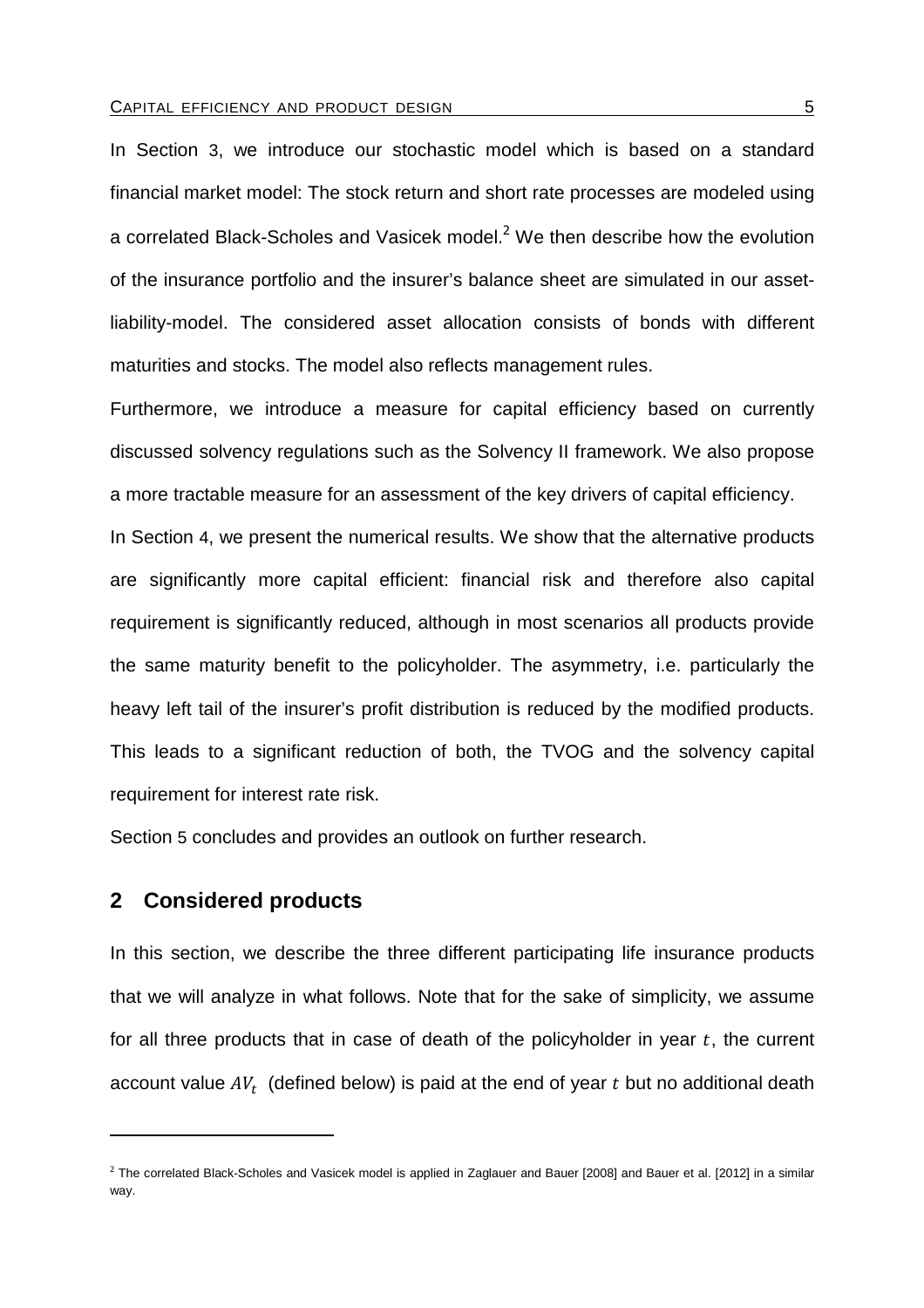In Section 3, we introduce our stochastic model which is based on a standard financial market model: The stock return and short rate processes are modeled using a correlated Black-Scholes and Vasicek model.<sup>2</sup> We then describe how the evolution of the insurance portfolio and the insurer's balance sheet are simulated in our assetliability-model. The considered asset allocation consists of bonds with different maturities and stocks. The model also reflects management rules.

Furthermore, we introduce a measure for capital efficiency based on currently discussed solvency regulations such as the Solvency II framework. We also propose a more tractable measure for an assessment of the key drivers of capital efficiency.

In Section 4, we present the numerical results. We show that the alternative products are significantly more capital efficient: financial risk and therefore also capital requirement is significantly reduced, although in most scenarios all products provide the same maturity benefit to the policyholder. The asymmetry, i.e. particularly the heavy left tail of the insurer's profit distribution is reduced by the modified products. This leads to a significant reduction of both, the TVOG and the solvency capital requirement for interest rate risk.

Section 5 concludes and provides an outlook on further research.

# **2 Considered products**

 $\overline{a}$ 

In this section, we describe the three different participating life insurance products that we will analyze in what follows. Note that for the sake of simplicity, we assume for all three products that in case of death of the policyholder in year  $t$ , the current account value  $AV_t$  (defined below) is paid at the end of year  $t$  but no additional death

<sup>&</sup>lt;sup>2</sup> The correlated Black-Scholes and Vasicek model is applied in Zaglauer and Bauer [2008] and Bauer et al. [2012] in a similar way.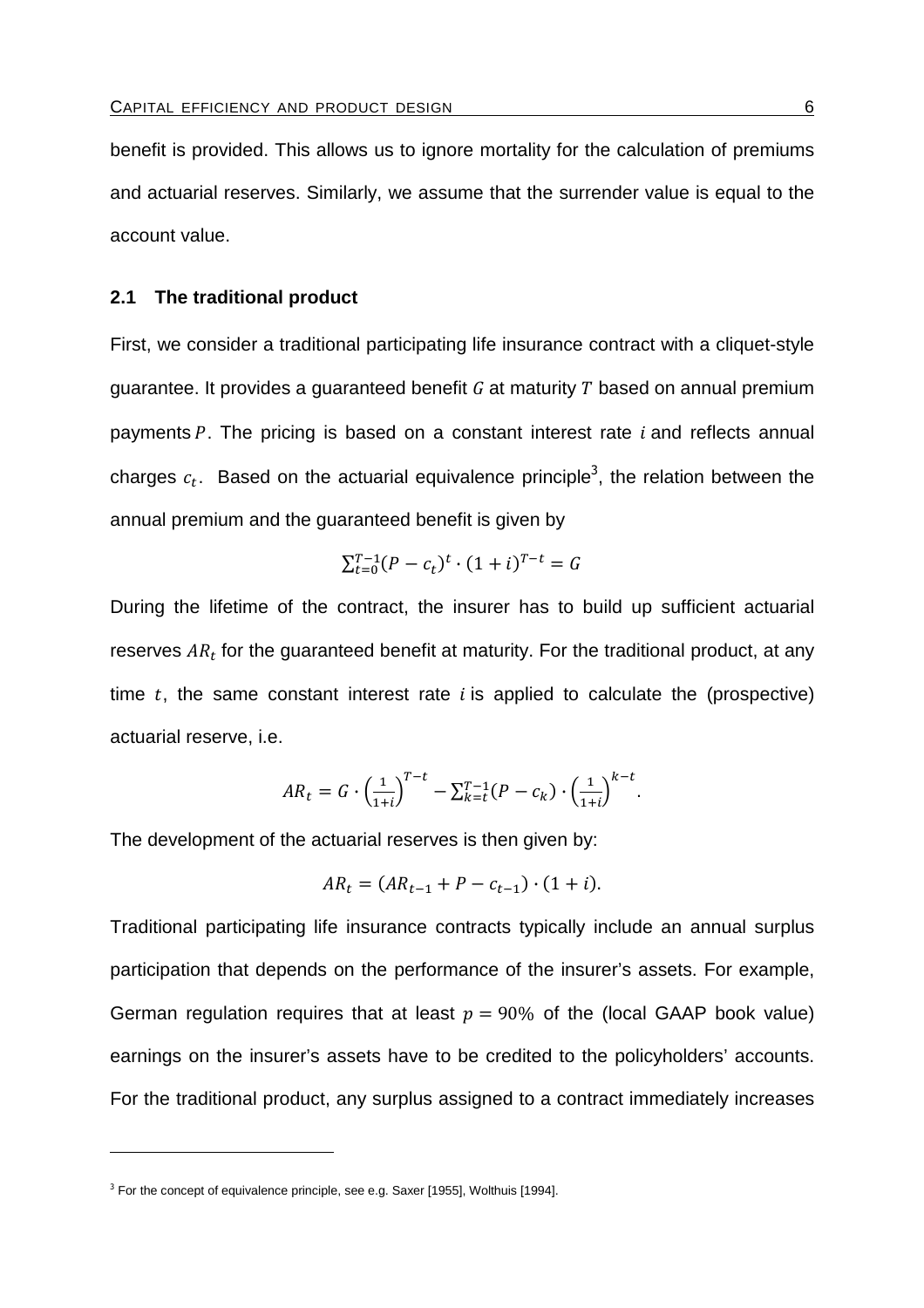benefit is provided. This allows us to ignore mortality for the calculation of premiums and actuarial reserves. Similarly, we assume that the surrender value is equal to the account value.

## **2.1 The traditional product**

First, we consider a traditional participating life insurance contract with a cliquet-style guarantee. It provides a guaranteed benefit  $G$  at maturity  $T$  based on annual premium payments P. The pricing is based on a constant interest rate  $i$  and reflects annual charges  $c_t$ . Based on the actuarial equivalence principle<sup>3</sup>, the relation between the annual premium and the guaranteed benefit is given by

$$
\sum_{t=0}^{T-1} (P - c_t)^t \cdot (1 + i)^{T-t} = G
$$

During the lifetime of the contract, the insurer has to build up sufficient actuarial reserves  $AR_t$  for the guaranteed benefit at maturity. For the traditional product, at any time  $t$ , the same constant interest rate  $i$  is applied to calculate the (prospective) actuarial reserve, i.e.

$$
AR_t = G \cdot \left(\frac{1}{1+i}\right)^{T-t} - \sum_{k=t}^{T-1} (P - c_k) \cdot \left(\frac{1}{1+i}\right)^{k-t}.
$$

The development of the actuarial reserves is then given by:

$$
AR_t = (AR_{t-1} + P - c_{t-1}) \cdot (1 + i).
$$

Traditional participating life insurance contracts typically include an annual surplus participation that depends on the performance of the insurer's assets. For example, German regulation requires that at least  $p = 90\%$  of the (local GAAP book value) earnings on the insurer's assets have to be credited to the policyholders' accounts. For the traditional product, any surplus assigned to a contract immediately increases

 $3$  For the concept of equivalence principle, see e.g. Saxer [1955], Wolthuis [1994].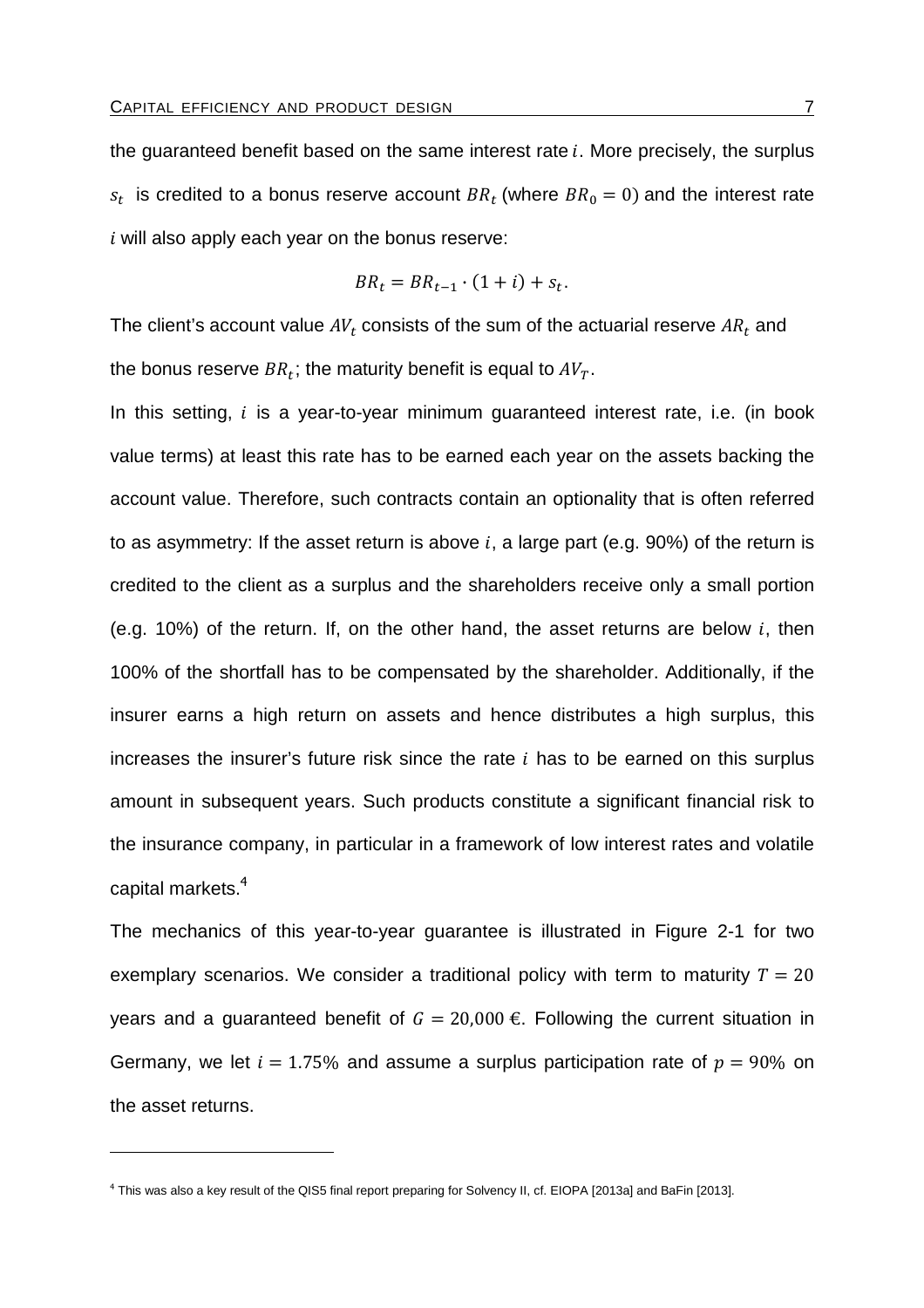the guaranteed benefit based on the same interest rate  $i$ . More precisely, the surplus  $s_t$  is credited to a bonus reserve account  $BR_t$  (where  $BR_0 = 0$ ) and the interest rate  $i$  will also apply each year on the bonus reserve:

$$
BR_t = BR_{t-1} \cdot (1+i) + s_t.
$$

The client's account value  $AV_t$  consists of the sum of the actuarial reserve  $AR_t$  and the bonus reserve  $BR_t;$  the maturity benefit is equal to  $AV_T.$ 

In this setting,  $i$  is a year-to-year minimum guaranteed interest rate, i.e. (in book value terms) at least this rate has to be earned each year on the assets backing the account value. Therefore, such contracts contain an optionality that is often referred to as asymmetry: If the asset return is above  $i$ , a large part (e.g. 90%) of the return is credited to the client as a surplus and the shareholders receive only a small portion (e.g. 10%) of the return. If, on the other hand, the asset returns are below  $i$ , then 100% of the shortfall has to be compensated by the shareholder. Additionally, if the insurer earns a high return on assets and hence distributes a high surplus, this increases the insurer's future risk since the rate  $i$  has to be earned on this surplus amount in subsequent years. Such products constitute a significant financial risk to the insurance company, in particular in a framework of low interest rates and volatile capital markets.<sup>4</sup>

The mechanics of this year-to-year guarantee is illustrated in Figure 2-1 for two exemplary scenarios. We consider a traditional policy with term to maturity  $T = 20$ years and a guaranteed benefit of  $G = 20,000 \text{ E}$ . Following the current situation in Germany, we let  $i = 1.75\%$  and assume a surplus participation rate of  $p = 90\%$  on the asset returns.

<sup>4</sup> This was also a key result of the QIS5 final report preparing for Solvency II, cf. EIOPA [2013a] and BaFin [2013].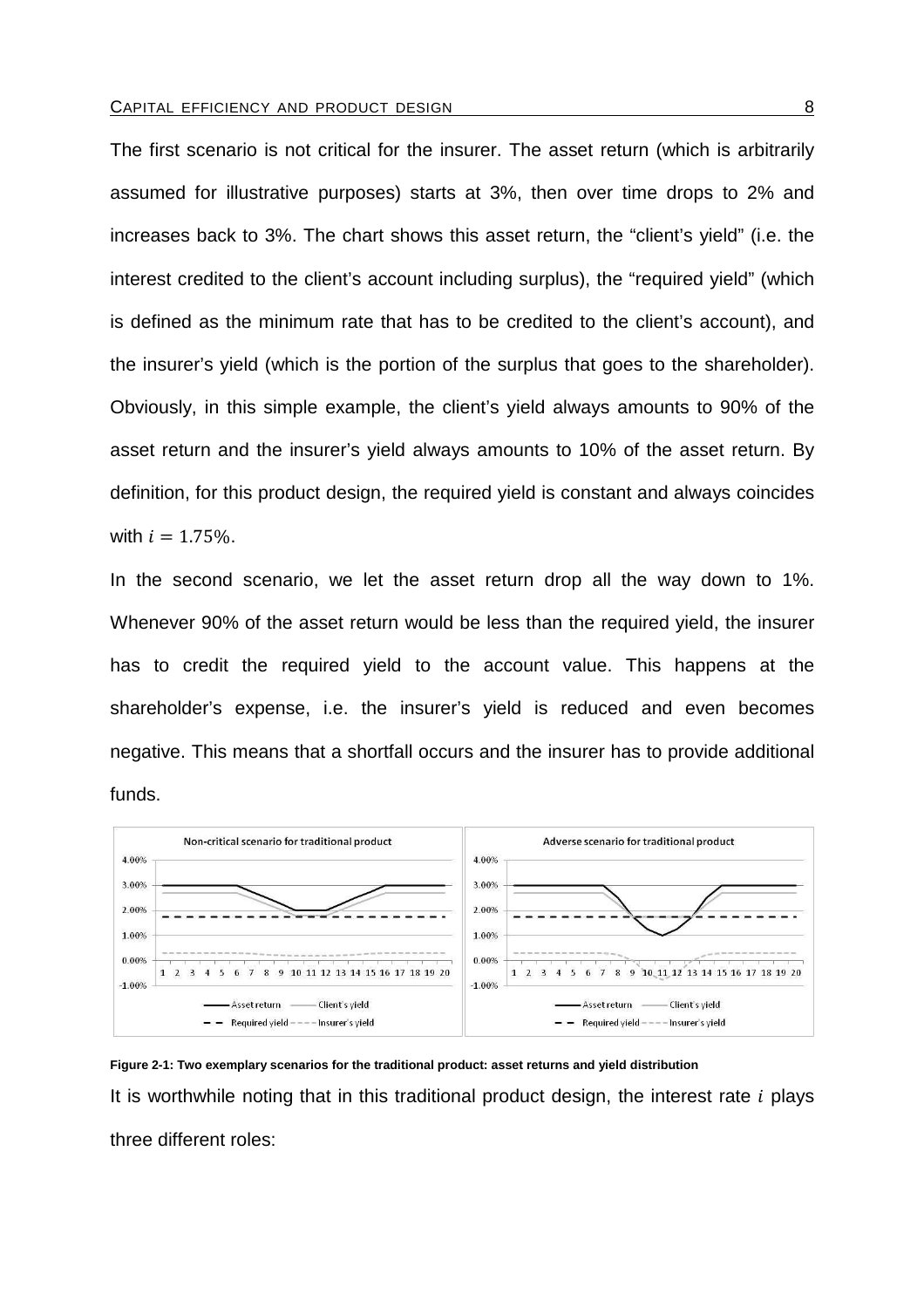The first scenario is not critical for the insurer. The asset return (which is arbitrarily assumed for illustrative purposes) starts at 3%, then over time drops to 2% and increases back to 3%. The chart shows this asset return, the "client's yield" (i.e. the interest credited to the client's account including surplus), the "required yield" (which is defined as the minimum rate that has to be credited to the client's account), and the insurer's yield (which is the portion of the surplus that goes to the shareholder). Obviously, in this simple example, the client's yield always amounts to 90% of the asset return and the insurer's yield always amounts to 10% of the asset return. By definition, for this product design, the required yield is constant and always coincides with  $i = 1.75\%$ .

In the second scenario, we let the asset return drop all the way down to 1%. Whenever 90% of the asset return would be less than the required yield, the insurer has to credit the required yield to the account value. This happens at the shareholder's expense, i.e. the insurer's yield is reduced and even becomes negative. This means that a shortfall occurs and the insurer has to provide additional funds.



**Figure 2-1: Two exemplary scenarios for the traditional product: asset returns and yield distribution**  It is worthwhile noting that in this traditional product design, the interest rate  $i$  plays three different roles: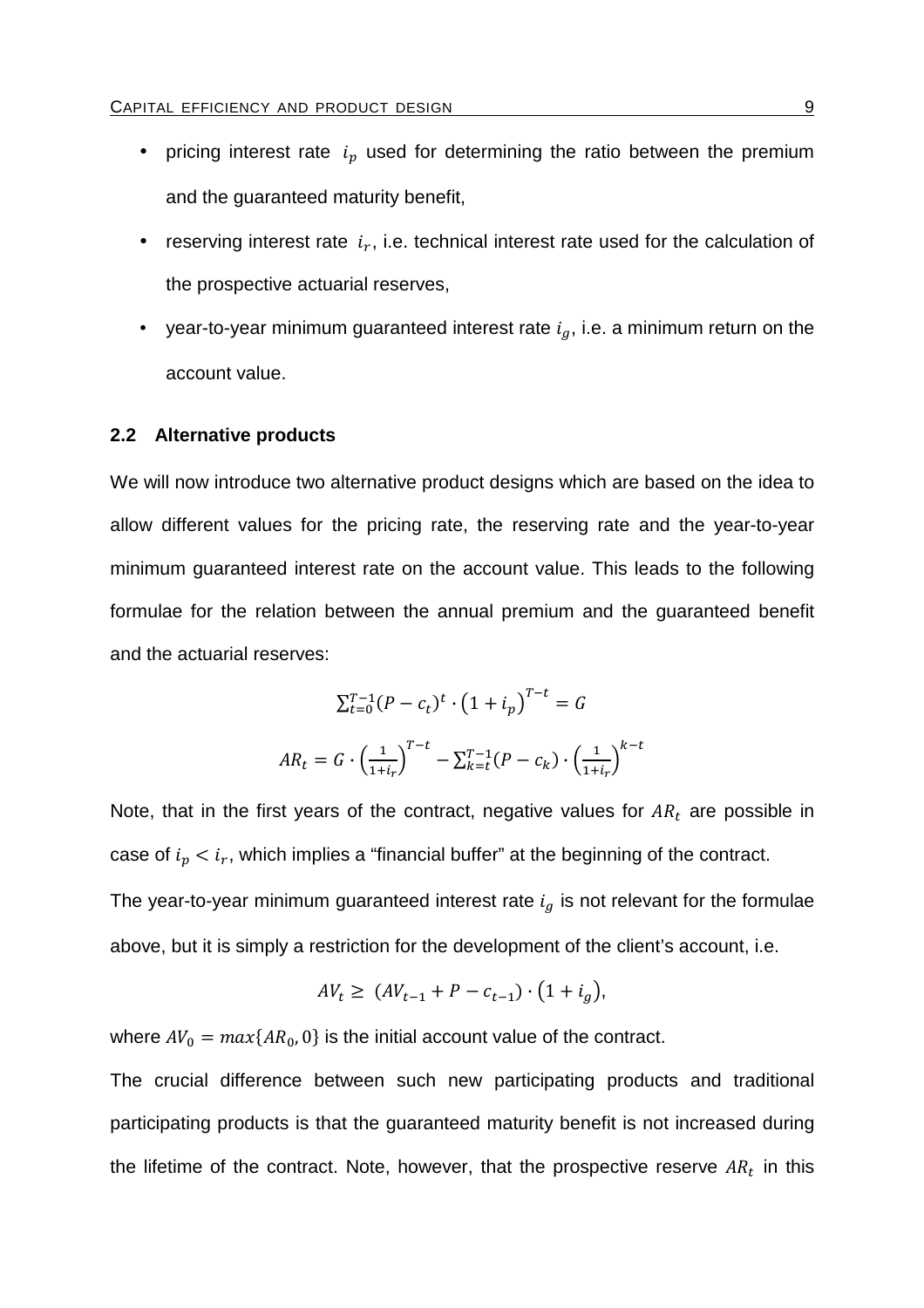- pricing interest rate  $i_p$  used for determining the ratio between the premium and the guaranteed maturity benefit,
- reserving interest rate  $i_r$ , i.e. technical interest rate used for the calculation of the prospective actuarial reserves,
- year-to-year minimum guaranteed interest rate  $i_a$ , i.e. a minimum return on the account value.

### **2.2 Alternative products**

We will now introduce two alternative product designs which are based on the idea to allow different values for the pricing rate, the reserving rate and the year-to-year minimum guaranteed interest rate on the account value. This leads to the following formulae for the relation between the annual premium and the guaranteed benefit and the actuarial reserves:

$$
\sum_{t=0}^{T-1} (P - c_t)^t \cdot (1 + i_p)^{T-t} = G
$$
  

$$
AR_t = G \cdot \left(\frac{1}{1 + i_r}\right)^{T-t} - \sum_{k=t}^{T-1} (P - c_k) \cdot \left(\frac{1}{1 + i_r}\right)^{k-t}
$$

Note, that in the first years of the contract, negative values for  $AR_t$  are possible in case of  $i_p < i_r$ , which implies a "financial buffer" at the beginning of the contract. The year-to-year minimum guaranteed interest rate  $i_g$  is not relevant for the formulae above, but it is simply a restriction for the development of the client's account, i.e.

$$
AV_t \ge (AV_{t-1} + P - c_{t-1}) \cdot (1 + i_g),
$$

where  $AV_0 = max\{AR_0, 0\}$  is the initial account value of the contract.

The crucial difference between such new participating products and traditional participating products is that the guaranteed maturity benefit is not increased during the lifetime of the contract. Note, however, that the prospective reserve  $AR_t$  in this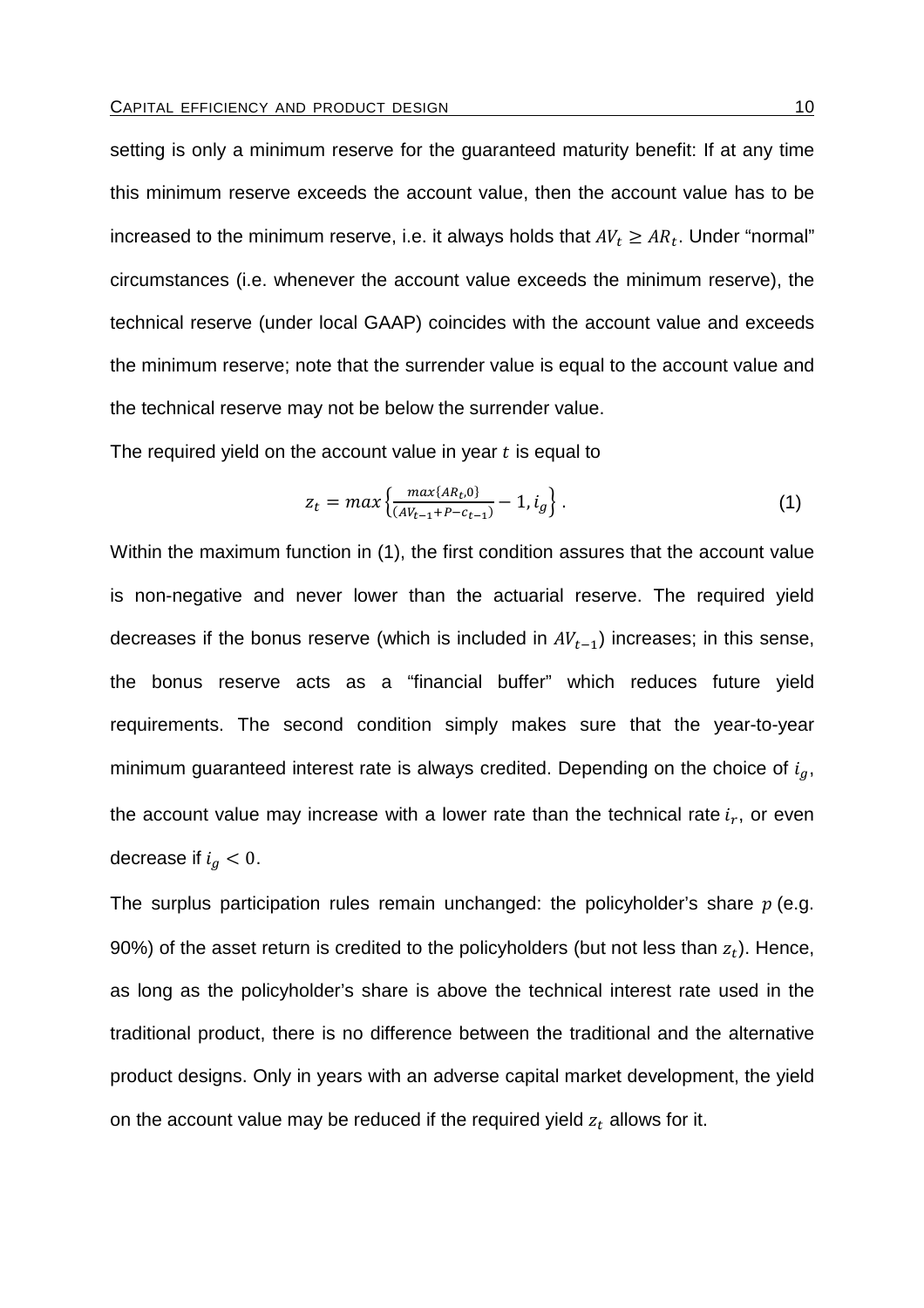setting is only a minimum reserve for the guaranteed maturity benefit: If at any time this minimum reserve exceeds the account value, then the account value has to be increased to the minimum reserve, i.e. it always holds that  $A V_t \geq A R_t.$  Under "normal" circumstances (i.e. whenever the account value exceeds the minimum reserve), the technical reserve (under local GAAP) coincides with the account value and exceeds the minimum reserve; note that the surrender value is equal to the account value and the technical reserve may not be below the surrender value.

The required yield on the account value in year  $t$  is equal to

$$
z_t = max \left\{ \frac{max\{AR_t, 0\}}{(AY_{t-1} + P - c_{t-1})} - 1, i_g \right\}.
$$
 (1)

Within the maximum function in (1), the first condition assures that the account value is non-negative and never lower than the actuarial reserve. The required yield decreases if the bonus reserve (which is included in  $AV_{t-1}$ ) increases; in this sense, the bonus reserve acts as a "financial buffer" which reduces future yield requirements. The second condition simply makes sure that the year-to-year minimum guaranteed interest rate is always credited. Depending on the choice of  $i_q$ , the account value may increase with a lower rate than the technical rate  $i_r$ , or even decrease if  $i_g < 0$ .

The surplus participation rules remain unchanged: the policyholder's share  $p$  (e.g. 90%) of the asset return is credited to the policyholders (but not less than  $z_t$ ). Hence, as long as the policyholder's share is above the technical interest rate used in the traditional product, there is no difference between the traditional and the alternative product designs. Only in years with an adverse capital market development, the yield on the account value may be reduced if the required yield  $\mathrm{z}_t$  allows for it.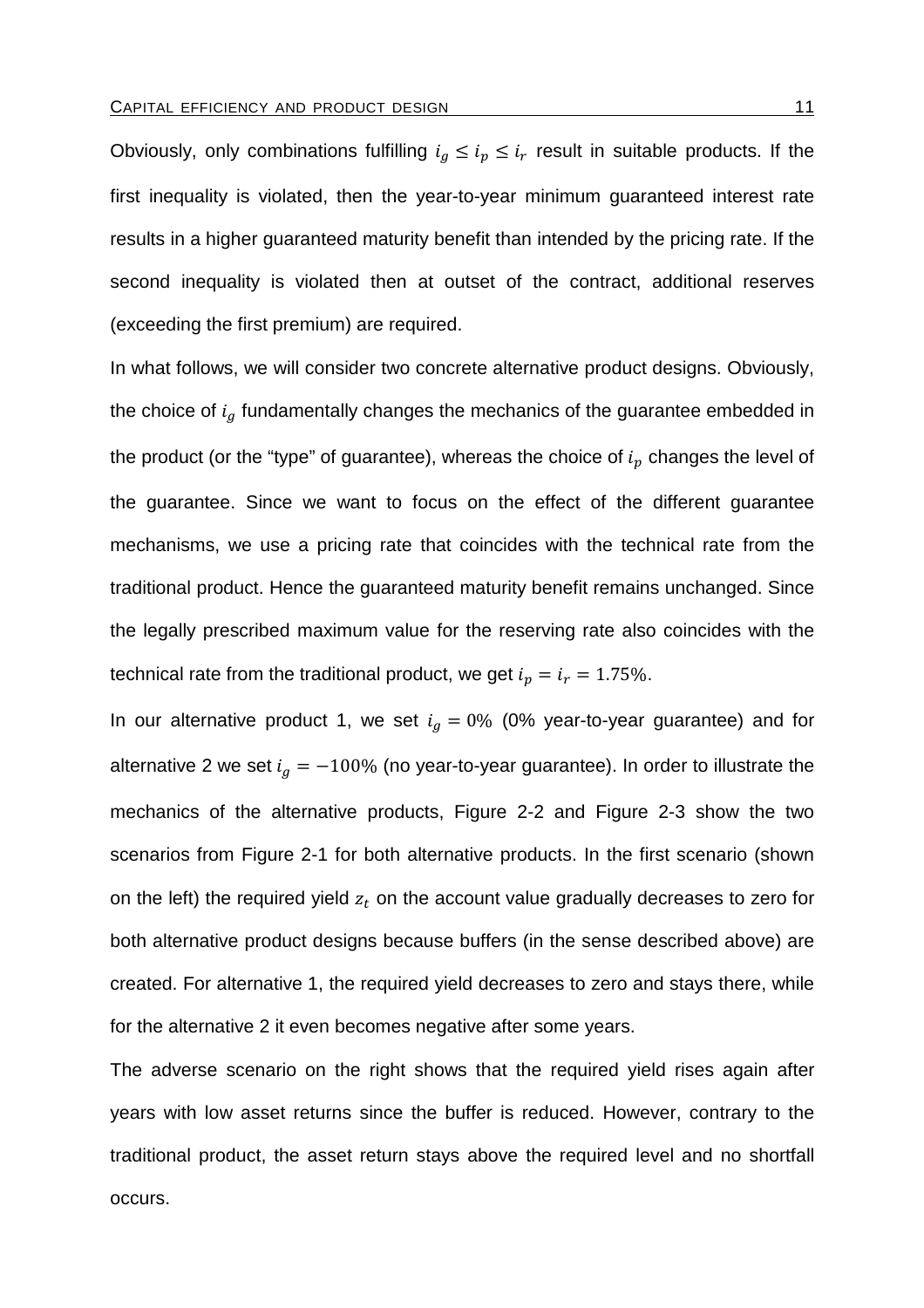Obviously, only combinations fulfilling  $i_g \leq i_p \leq i_r$  result in suitable products. If the first inequality is violated, then the year-to-year minimum guaranteed interest rate results in a higher guaranteed maturity benefit than intended by the pricing rate. If the second inequality is violated then at outset of the contract, additional reserves (exceeding the first premium) are required.

In what follows, we will consider two concrete alternative product designs. Obviously, the choice of  $i_a$  fundamentally changes the mechanics of the guarantee embedded in the product (or the "type" of guarantee), whereas the choice of  $i_p$  changes the level of the guarantee. Since we want to focus on the effect of the different guarantee mechanisms, we use a pricing rate that coincides with the technical rate from the traditional product. Hence the guaranteed maturity benefit remains unchanged. Since the legally prescribed maximum value for the reserving rate also coincides with the technical rate from the traditional product, we get  $i_p = i_r = 1.75\%$ .

In our alternative product 1, we set  $i<sub>g</sub> = 0%$  (0% year-to-year guarantee) and for alternative 2 we set  $i_g = -100\%$  (no year-to-year guarantee). In order to illustrate the mechanics of the alternative products, Figure 2-2 and Figure 2-3 show the two scenarios from Figure 2-1 for both alternative products. In the first scenario (shown on the left) the required yield  $z_t$  on the account value gradually decreases to zero for both alternative product designs because buffers (in the sense described above) are created. For alternative 1, the required yield decreases to zero and stays there, while for the alternative 2 it even becomes negative after some years.

The adverse scenario on the right shows that the required yield rises again after years with low asset returns since the buffer is reduced. However, contrary to the traditional product, the asset return stays above the required level and no shortfall occurs.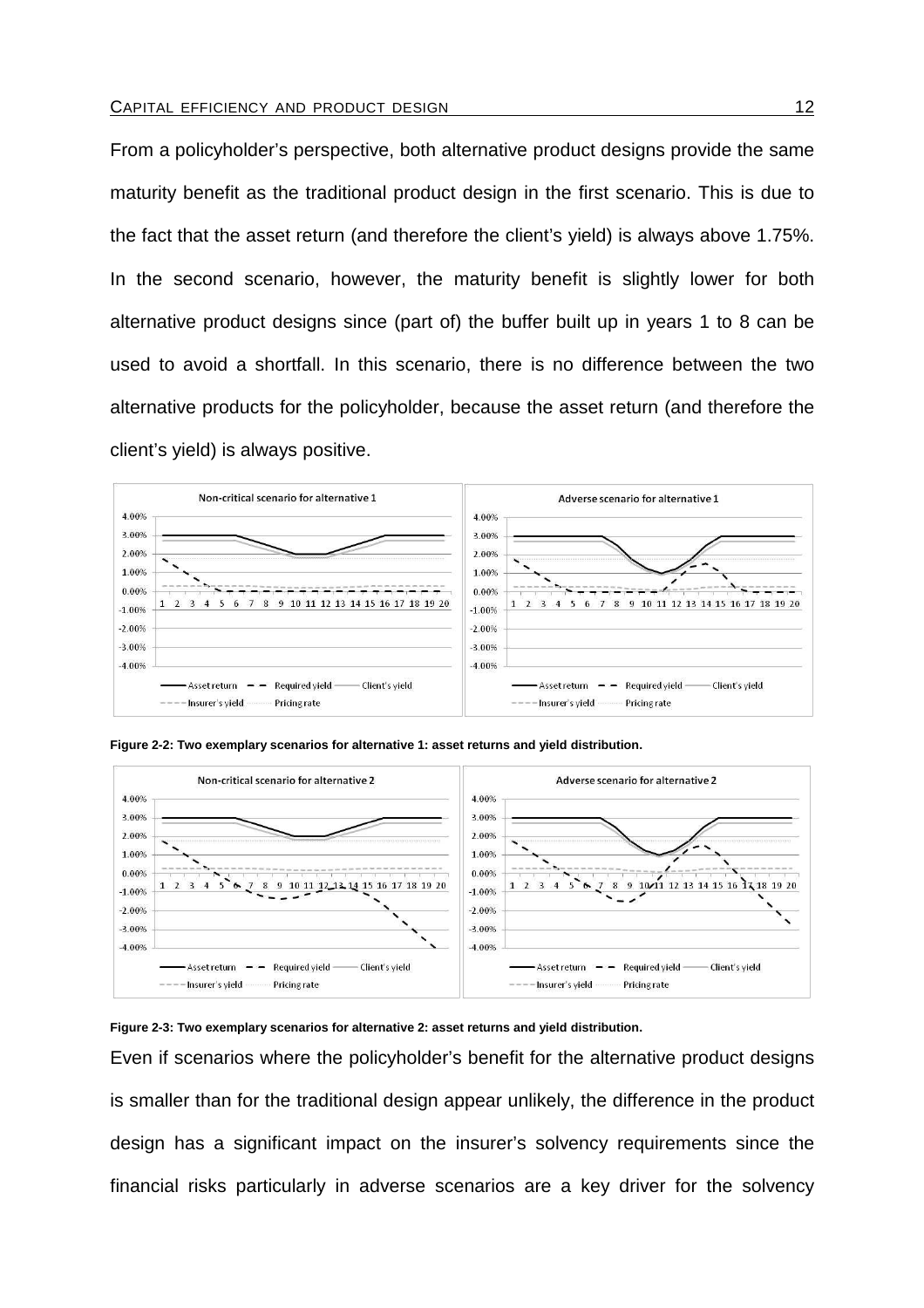From a policyholder's perspective, both alternative product designs provide the same maturity benefit as the traditional product design in the first scenario. This is due to the fact that the asset return (and therefore the client's yield) is always above 1.75%. In the second scenario, however, the maturity benefit is slightly lower for both alternative product designs since (part of) the buffer built up in years 1 to 8 can be used to avoid a shortfall. In this scenario, there is no difference between the two alternative products for the policyholder, because the asset return (and therefore the client's yield) is always positive.





**Figure 2-2: Two exemplary scenarios for alternative 1: asset returns and yield distribution.** 

#### **Figure 2-3: Two exemplary scenarios for alternative 2: asset returns and yield distribution.**

Even if scenarios where the policyholder's benefit for the alternative product designs is smaller than for the traditional design appear unlikely, the difference in the product design has a significant impact on the insurer's solvency requirements since the financial risks particularly in adverse scenarios are a key driver for the solvency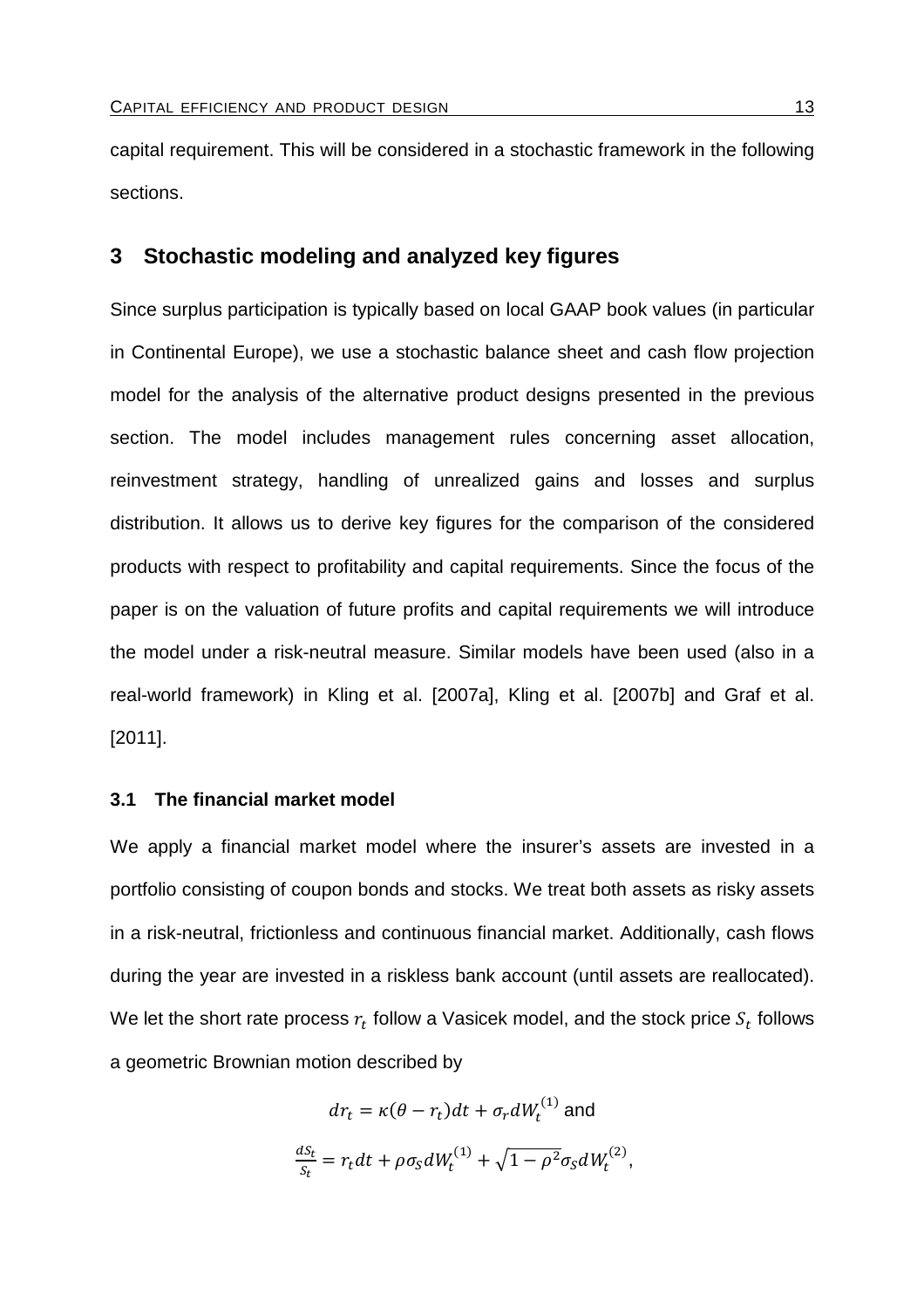capital requirement. This will be considered in a stochastic framework in the following sections.

# **3 Stochastic modeling and analyzed key figures**

Since surplus participation is typically based on local GAAP book values (in particular in Continental Europe), we use a stochastic balance sheet and cash flow projection model for the analysis of the alternative product designs presented in the previous section. The model includes management rules concerning asset allocation, reinvestment strategy, handling of unrealized gains and losses and surplus distribution. It allows us to derive key figures for the comparison of the considered products with respect to profitability and capital requirements. Since the focus of the paper is on the valuation of future profits and capital requirements we will introduce the model under a risk-neutral measure. Similar models have been used (also in a real-world framework) in Kling et al. [2007a], Kling et al. [2007b] and Graf et al. [2011].

## **3.1 The financial market model**

We apply a financial market model where the insurer's assets are invested in a portfolio consisting of coupon bonds and stocks. We treat both assets as risky assets in a risk-neutral, frictionless and continuous financial market. Additionally, cash flows during the year are invested in a riskless bank account (until assets are reallocated). We let the short rate process  $r_t$  follow a Vasicek model, and the stock price  $S_t$  follows a geometric Brownian motion described by

$$
dr_t = \kappa(\theta - r_t)dt + \sigma_r dW_t^{(1)}
$$
 and  

$$
\frac{ds_t}{s_t} = r_t dt + \rho \sigma_S dW_t^{(1)} + \sqrt{1 - \rho^2} \sigma_S dW_t^{(2)},
$$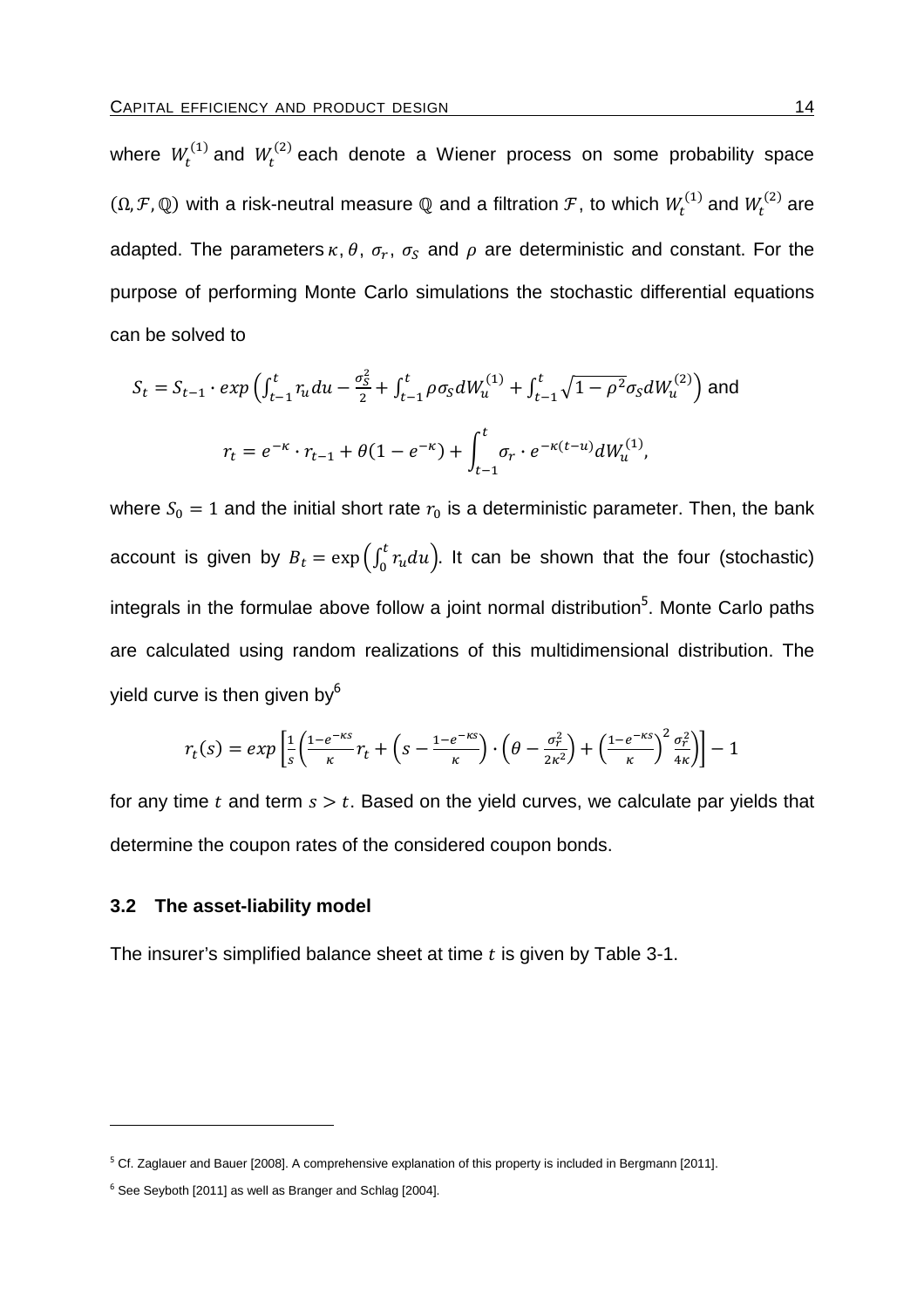where  $W_t^{(1)}$  and  $W_t^{(2)}$  each denote a Wiener process on some probability space  $(\Omega, \mathcal{F}, \mathbb{Q})$  with a risk-neutral measure  $\mathbb Q$  and a filtration  $\mathcal{F}$ , to which  $W_t^{(1)}$  and  $W_t^{(2)}$  are adapted. The parameters  $\kappa$ ,  $\theta$ ,  $\sigma_r$ ,  $\sigma_S$  and  $\rho$  are deterministic and constant. For the purpose of performing Monte Carlo simulations the stochastic differential equations can be solved to

$$
S_t = S_{t-1} \cdot exp\left(\int_{t-1}^t r_u du - \frac{\sigma_S^2}{2} + \int_{t-1}^t \rho \sigma_S dW_u^{(1)} + \int_{t-1}^t \sqrt{1 - \rho^2} \sigma_S dW_u^{(2)}\right)
$$
 and  

$$
r_t = e^{-\kappa} \cdot r_{t-1} + \theta(1 - e^{-\kappa}) + \int_{t-1}^t \sigma_r \cdot e^{-\kappa(t-u)} dW_u^{(1)},
$$

where  $S_0 = 1$  and the initial short rate  $r_0$  is a deterministic parameter. Then, the bank account is given by  $B_t = \exp\left(\int_0^t r_u du\right)$ . It can be shown that the four (stochastic) integrals in the formulae above follow a joint normal distribution<sup>5</sup>. Monte Carlo paths are calculated using random realizations of this multidimensional distribution. The yield curve is then given by $6<sup>6</sup>$ 

$$
r_t(s) = exp\left[\frac{1}{s}\left(\frac{1-e^{-\kappa s}}{\kappa}r_t + \left(s - \frac{1-e^{-\kappa s}}{\kappa}\right)\cdot\left(\theta - \frac{\sigma_r^2}{2\kappa^2}\right) + \left(\frac{1-e^{-\kappa s}}{\kappa}\right)^2\frac{\sigma_r^2}{4\kappa}\right)\right] - 1
$$

for any time t and term  $s > t$ . Based on the yield curves, we calculate par yields that determine the coupon rates of the considered coupon bonds.

#### **3.2 The asset-liability model**

The insurer's simplified balance sheet at time  $t$  is given by Table 3-1.

<sup>&</sup>lt;sup>5</sup> Cf. Zaglauer and Bauer [2008]. A comprehensive explanation of this property is included in Bergmann [2011].

<sup>&</sup>lt;sup>6</sup> See Seyboth [2011] as well as Branger and Schlag [2004].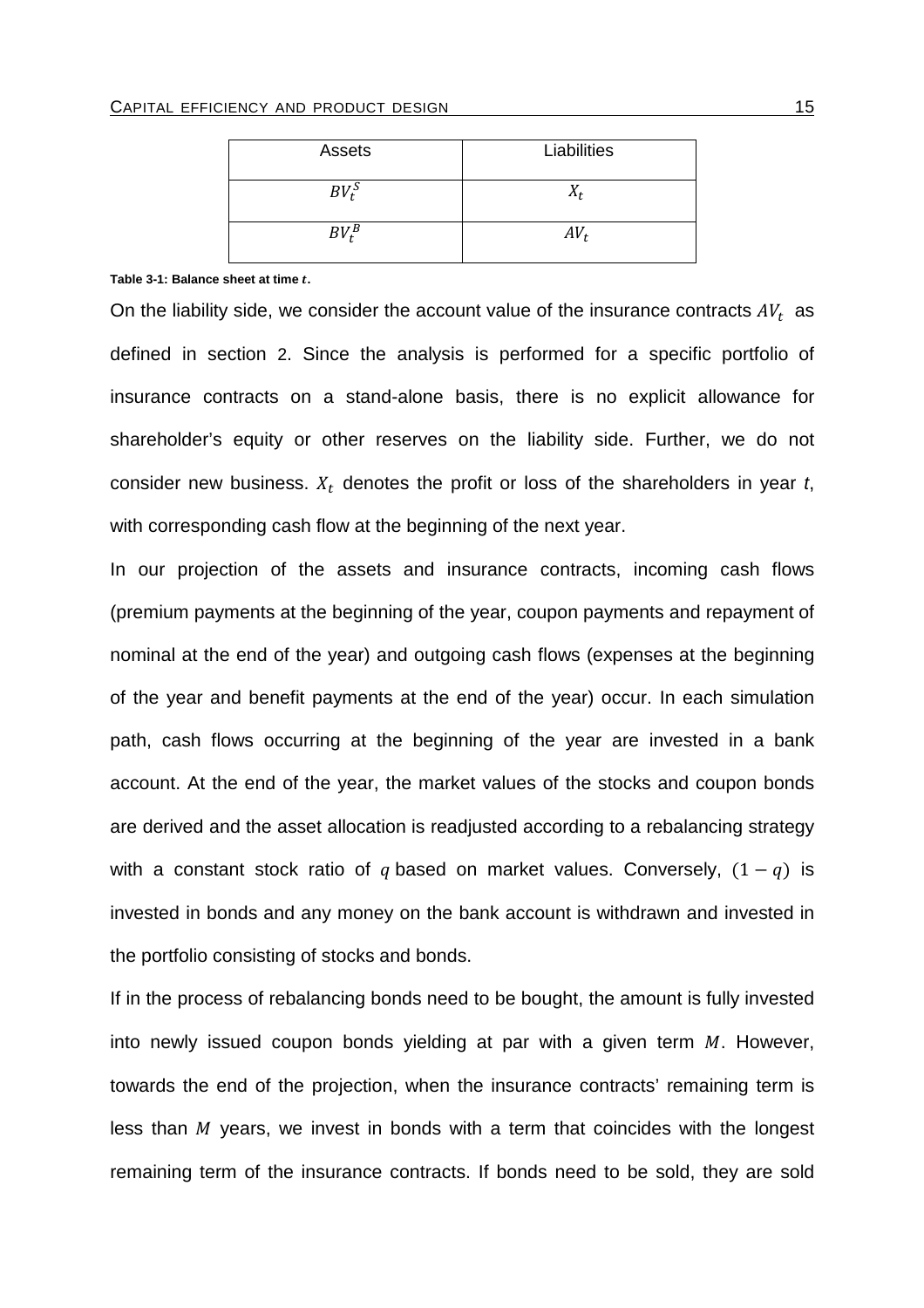| Assets   | Liabilities |
|----------|-------------|
| $BV_t^S$ | $\Lambda_f$ |
| $BV^B_t$ | $AV_t$      |

#### Table 3-1: Balance sheet at time *t*.

On the liability side, we consider the account value of the insurance contracts  $AV_t$  as defined in section 2. Since the analysis is performed for a specific portfolio of insurance contracts on a stand-alone basis, there is no explicit allowance for shareholder's equity or other reserves on the liability side. Further, we do not consider new business.  $X_t$  denotes the profit or loss of the shareholders in year t, with corresponding cash flow at the beginning of the next year.

In our projection of the assets and insurance contracts, incoming cash flows (premium payments at the beginning of the year, coupon payments and repayment of nominal at the end of the year) and outgoing cash flows (expenses at the beginning of the year and benefit payments at the end of the year) occur. In each simulation path, cash flows occurring at the beginning of the year are invested in a bank account. At the end of the year, the market values of the stocks and coupon bonds are derived and the asset allocation is readjusted according to a rebalancing strategy with a constant stock ratio of q based on market values. Conversely,  $(1 - q)$  is invested in bonds and any money on the bank account is withdrawn and invested in the portfolio consisting of stocks and bonds.

If in the process of rebalancing bonds need to be bought, the amount is fully invested into newly issued coupon bonds yielding at par with a given term  $M$ . However, towards the end of the projection, when the insurance contracts' remaining term is less than  $M$  years, we invest in bonds with a term that coincides with the longest remaining term of the insurance contracts. If bonds need to be sold, they are sold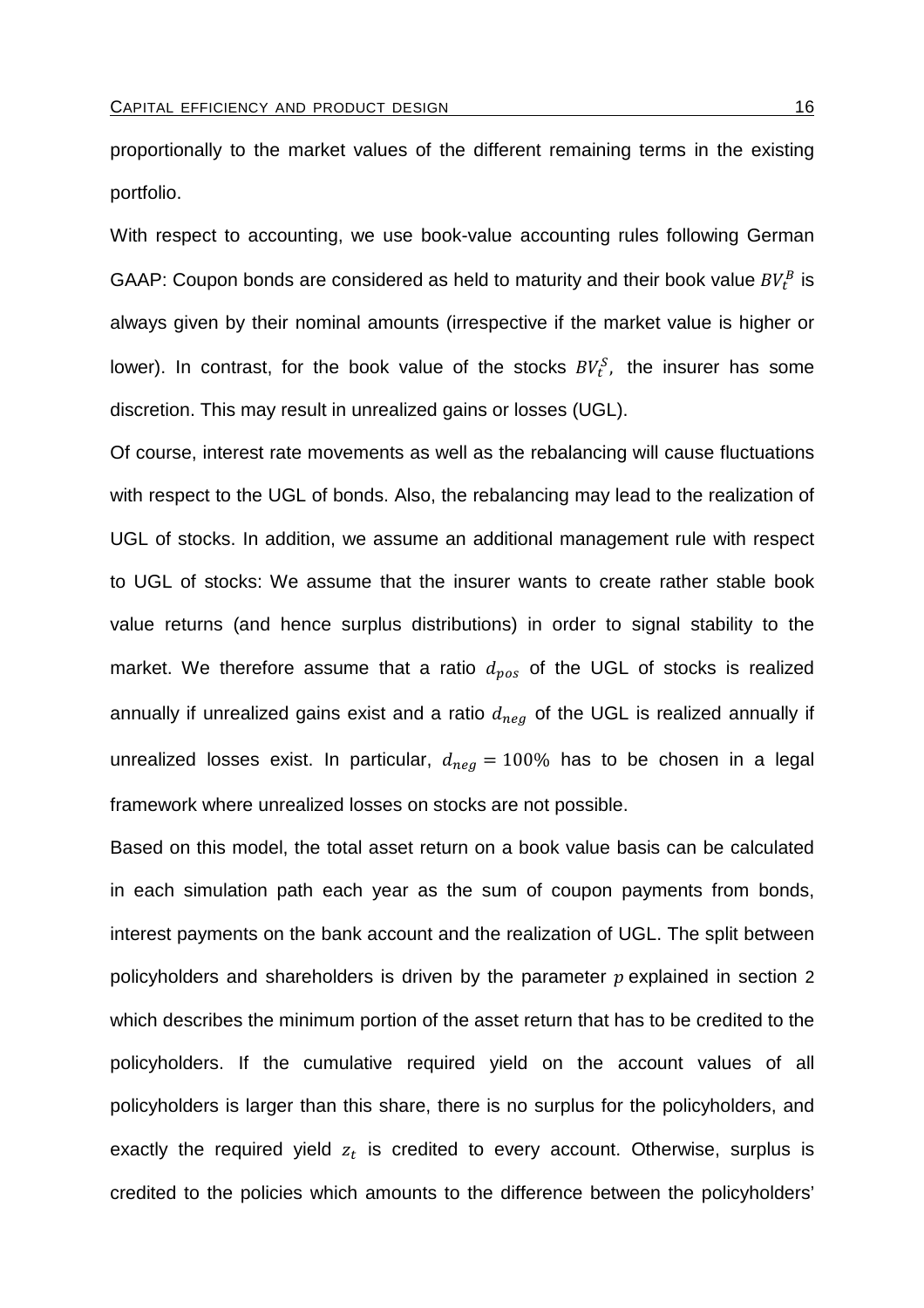proportionally to the market values of the different remaining terms in the existing portfolio.

With respect to accounting, we use book-value accounting rules following German GAAP: Coupon bonds are considered as held to maturity and their book value  $BV_{t}^{B}$  is always given by their nominal amounts (irrespective if the market value is higher or lower). In contrast, for the book value of the stocks  $BV_t^S$ , the insurer has some discretion. This may result in unrealized gains or losses (UGL).

Of course, interest rate movements as well as the rebalancing will cause fluctuations with respect to the UGL of bonds. Also, the rebalancing may lead to the realization of UGL of stocks. In addition, we assume an additional management rule with respect to UGL of stocks: We assume that the insurer wants to create rather stable book value returns (and hence surplus distributions) in order to signal stability to the market. We therefore assume that a ratio  $d_{pos}$  of the UGL of stocks is realized annually if unrealized gains exist and a ratio  $d_{neq}$  of the UGL is realized annually if unrealized losses exist. In particular,  $d_{neg} = 100\%$  has to be chosen in a legal framework where unrealized losses on stocks are not possible.

Based on this model, the total asset return on a book value basis can be calculated in each simulation path each year as the sum of coupon payments from bonds, interest payments on the bank account and the realization of UGL. The split between policyholders and shareholders is driven by the parameter  $p$  explained in section 2 which describes the minimum portion of the asset return that has to be credited to the policyholders. If the cumulative required yield on the account values of all policyholders is larger than this share, there is no surplus for the policyholders, and exactly the required yield  $z_t$  is credited to every account. Otherwise, surplus is credited to the policies which amounts to the difference between the policyholders'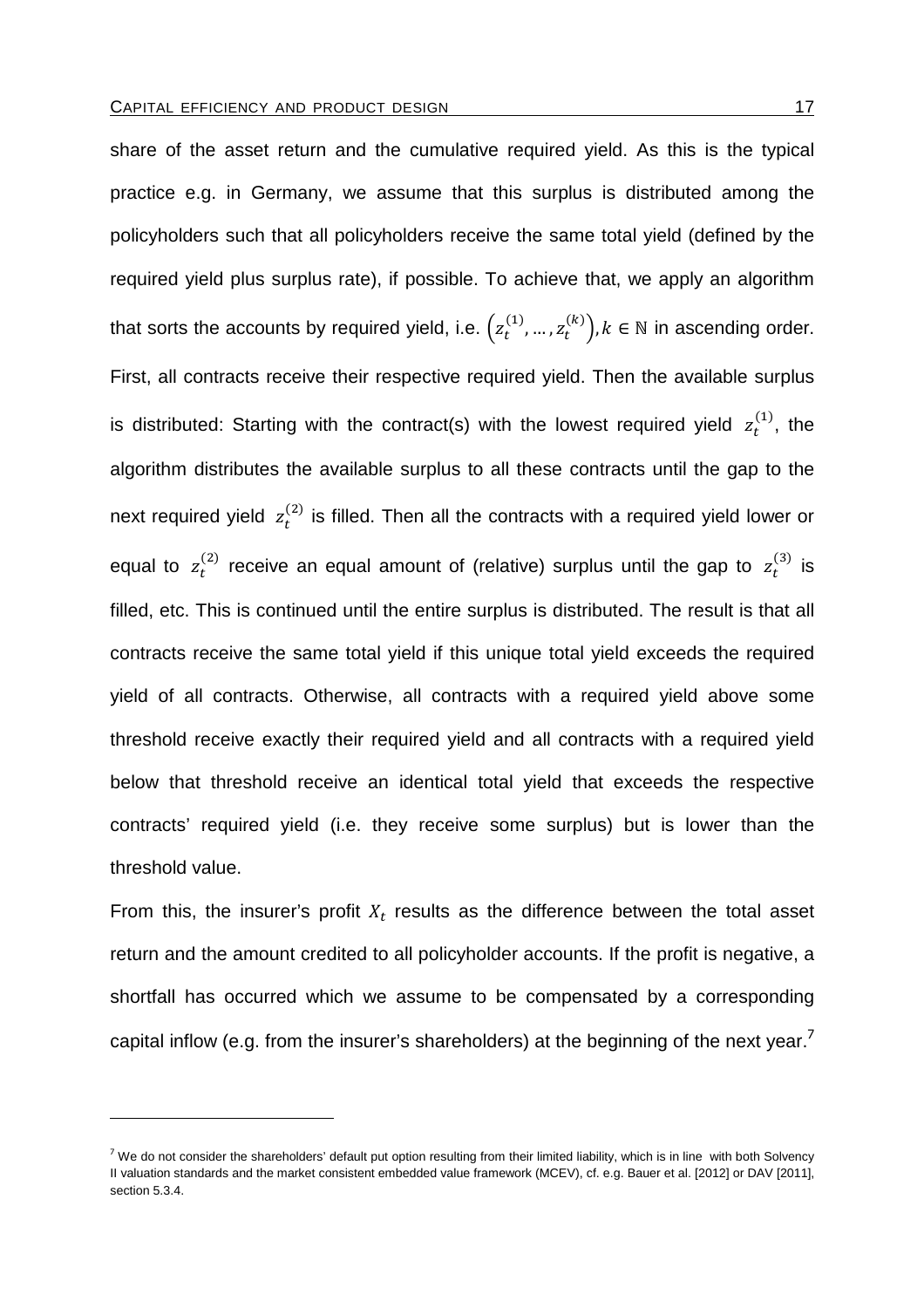share of the asset return and the cumulative required yield. As this is the typical practice e.g. in Germany, we assume that this surplus is distributed among the policyholders such that all policyholders receive the same total yield (defined by the required yield plus surplus rate), if possible. To achieve that, we apply an algorithm that sorts the accounts by required yield, i.e.  $\left(z^{(1)}_t,...,z^{(k)}_t\right)$ ,  $k\in\mathbb{N}$  in ascending order. First, all contracts receive their respective required yield. Then the available surplus is distributed: Starting with the contract(s) with the lowest required yield  $z_t^{(1)}$ , the algorithm distributes the available surplus to all these contracts until the gap to the next required yield  $z_t^{(2)}$  is filled. Then all the contracts with a required yield lower or equal to  $z_t^{(2)}$  receive an equal amount of (relative) surplus until the gap to  $z_t^{(3)}$  is filled, etc. This is continued until the entire surplus is distributed. The result is that all contracts receive the same total yield if this unique total yield exceeds the required yield of all contracts. Otherwise, all contracts with a required yield above some threshold receive exactly their required yield and all contracts with a required yield below that threshold receive an identical total yield that exceeds the respective contracts' required yield (i.e. they receive some surplus) but is lower than the threshold value.

From this, the insurer's profit  $X_t$  results as the difference between the total asset return and the amount credited to all policyholder accounts. If the profit is negative, a shortfall has occurred which we assume to be compensated by a corresponding capital inflow (e.g. from the insurer's shareholders) at the beginning of the next year.<sup>7</sup>

<sup>&</sup>lt;sup>7</sup> We do not consider the shareholders' default put option resulting from their limited liability, which is in line with both Solvency II valuation standards and the market consistent embedded value framework (MCEV), cf. e.g. Bauer et al. [2012] or DAV [2011], section 5.3.4.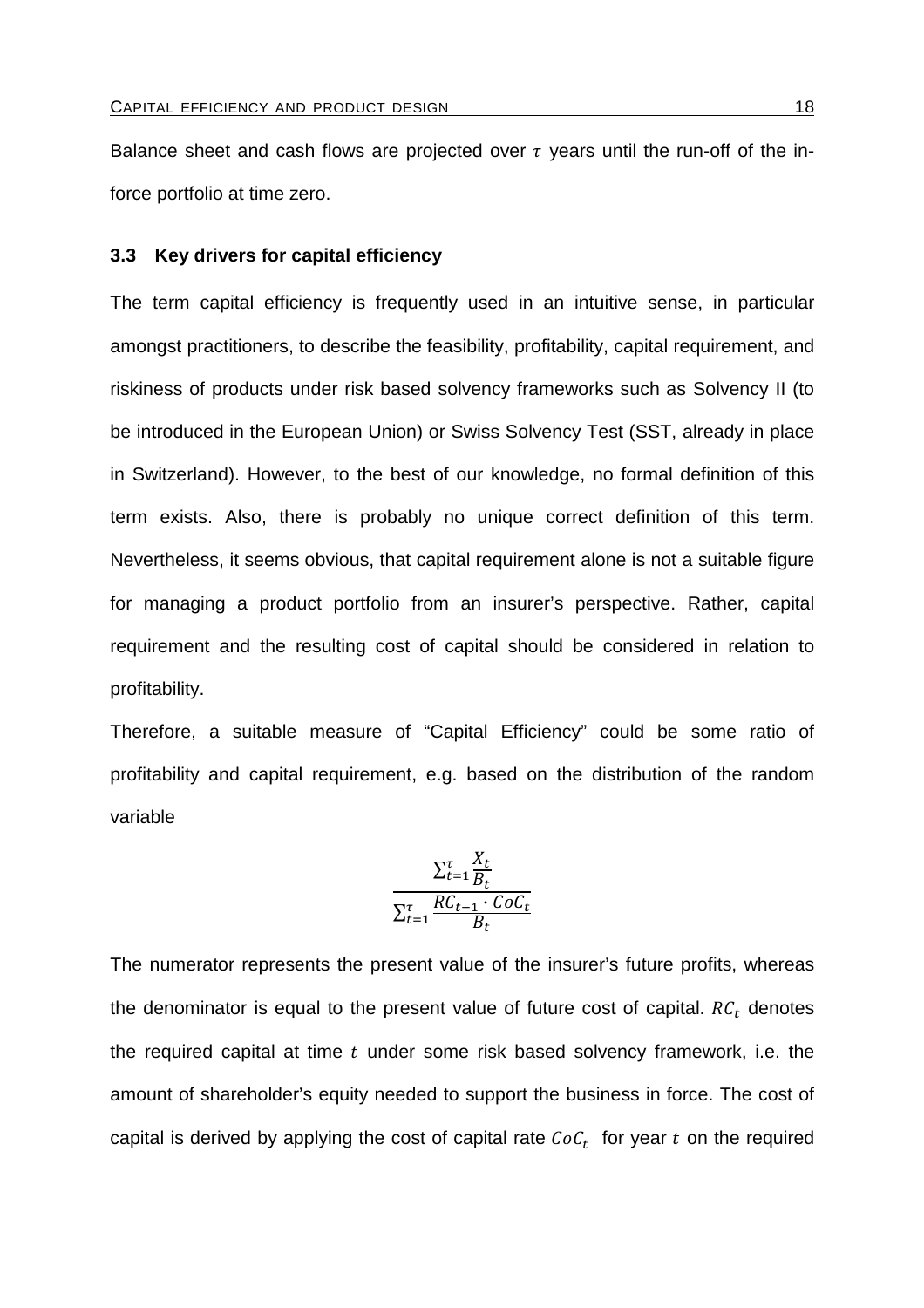Balance sheet and cash flows are projected over  $\tau$  years until the run-off of the inforce portfolio at time zero.

## **3.3 Key drivers for capital efficiency**

The term capital efficiency is frequently used in an intuitive sense, in particular amongst practitioners, to describe the feasibility, profitability, capital requirement, and riskiness of products under risk based solvency frameworks such as Solvency II (to be introduced in the European Union) or Swiss Solvency Test (SST, already in place in Switzerland). However, to the best of our knowledge, no formal definition of this term exists. Also, there is probably no unique correct definition of this term. Nevertheless, it seems obvious, that capital requirement alone is not a suitable figure for managing a product portfolio from an insurer's perspective. Rather, capital requirement and the resulting cost of capital should be considered in relation to profitability.

Therefore, a suitable measure of "Capital Efficiency" could be some ratio of profitability and capital requirement, e.g. based on the distribution of the random variable

$$
\frac{\sum_{t=1}^{t} \frac{X_t}{B_t}}{\sum_{t=1}^{t} \frac{RC_{t-1} \cdot COC_t}{B_t}}
$$

The numerator represents the present value of the insurer's future profits, whereas the denominator is equal to the present value of future cost of capital.  $RC_t$  denotes the required capital at time  $t$  under some risk based solvency framework, i.e. the amount of shareholder's equity needed to support the business in force. The cost of capital is derived by applying the cost of capital rate  $\mathit{CoC}_t$  for year  $t$  on the required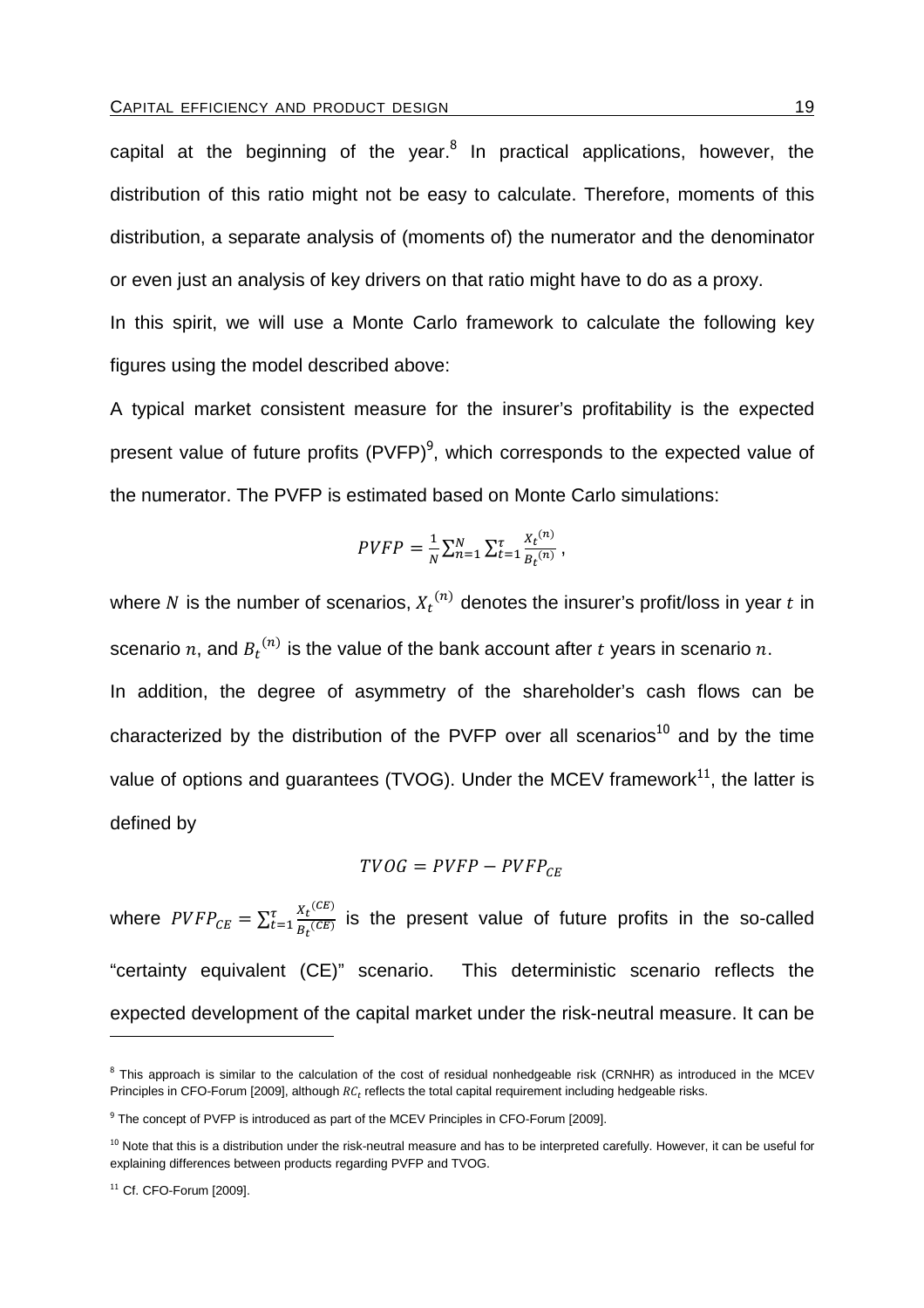capital at the beginning of the year.<sup>8</sup> In practical applications, however, the distribution of this ratio might not be easy to calculate. Therefore, moments of this distribution, a separate analysis of (moments of) the numerator and the denominator or even just an analysis of key drivers on that ratio might have to do as a proxy.

In this spirit, we will use a Monte Carlo framework to calculate the following key figures using the model described above:

A typical market consistent measure for the insurer's profitability is the expected present value of future profits  $(PVFP)^9$ , which corresponds to the expected value of the numerator. The PVFP is estimated based on Monte Carlo simulations:

$$
PVFP = \frac{1}{N} \sum_{n=1}^{N} \sum_{t=1}^{T} \frac{x_t^{(n)}}{B_t^{(n)}},
$$

where N is the number of scenarios,  $X_t^{(n)}$  denotes the insurer's profit/loss in year  $t$  in scenario  $n$ , and  $B_t^{(n)}$  is the value of the bank account after  $t$  years in scenario  $n$ . In addition, the degree of asymmetry of the shareholder's cash flows can be characterized by the distribution of the PVFP over all scenarios<sup>10</sup> and by the time value of options and quarantees (TVOG). Under the MCEV framework $^{11}$ , the latter is defined by

$$
TVOG = PVFP - PVFP_{CE}
$$

where  $\mathit{PVFP}_{\mathit{CE}} = \sum_{t=1}^{\tau} \frac{X_t^{(\mathit{CE})}}{B_t^{(\mathit{CE})}}$  $\frac{\pi}{E}$ <sub> $\frac{At^{\prime}}{Bt^{(CE)}}$ </sub> is the present value of future profits in the so-called "certainty equivalent (CE)" scenario. This deterministic scenario reflects the expected development of the capital market under the risk-neutral measure. It can be

<sup>&</sup>lt;sup>8</sup> This approach is similar to the calculation of the cost of residual nonhedgeable risk (CRNHR) as introduced in the MCEV Principles in CFO-Forum [2009], although  $RC_t$  reflects the total capital requirement including hedgeable risks.

<sup>&</sup>lt;sup>9</sup> The concept of PVFP is introduced as part of the MCEV Principles in CFO-Forum [2009].

 $10$  Note that this is a distribution under the risk-neutral measure and has to be interpreted carefully. However, it can be useful for explaining differences between products regarding PVFP and TVOG.

<sup>11</sup> Cf. CFO-Forum [2009].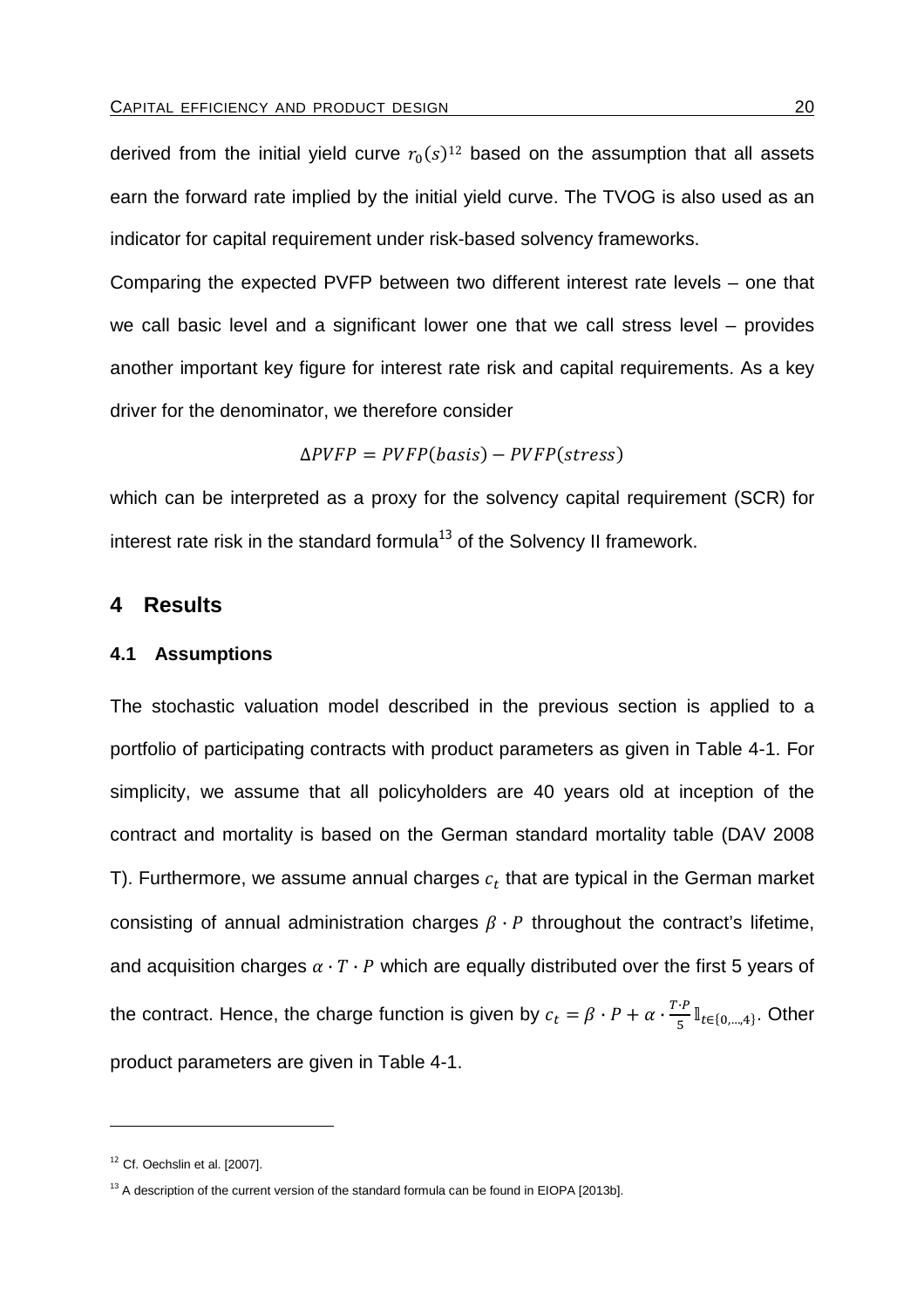derived from the initial yield curve  $r_0(s)^{12}$  based on the assumption that all assets earn the forward rate implied by the initial yield curve. The TVOG is also used as an indicator for capital requirement under risk-based solvency frameworks.

Comparing the expected PVFP between two different interest rate levels – one that we call basic level and a significant lower one that we call stress level – provides another important key figure for interest rate risk and capital requirements. As a key driver for the denominator, we therefore consider

$$
\Delta PVFP = PVFP(basis) - PVFP(stress)
$$

which can be interpreted as a proxy for the solvency capital requirement (SCR) for interest rate risk in the standard formula<sup>13</sup> of the Solvency II framework.

# **4 Results**

## **4.1 Assumptions**

The stochastic valuation model described in the previous section is applied to a portfolio of participating contracts with product parameters as given in Table 4-1. For simplicity, we assume that all policyholders are 40 years old at inception of the contract and mortality is based on the German standard mortality table (DAV 2008 T). Furthermore, we assume annual charges  $c_t$  that are typical in the German market consisting of annual administration charges  $\beta \cdot P$  throughout the contract's lifetime, and acquisition charges  $\alpha \cdot T \cdot P$  which are equally distributed over the first 5 years of the contract. Hence, the charge function is given by  $c_t = \beta \cdot P + \alpha \cdot \frac{T \cdot P}{5} \mathbb{I}_{t \in \{0,\dots,4\}}$ . Other product parameters are given in Table 4-1.

 $\overline{a}$ 

 $12$  Cf. Oechslin et al. [2007].

 $13$  A description of the current version of the standard formula can be found in EIOPA [2013b].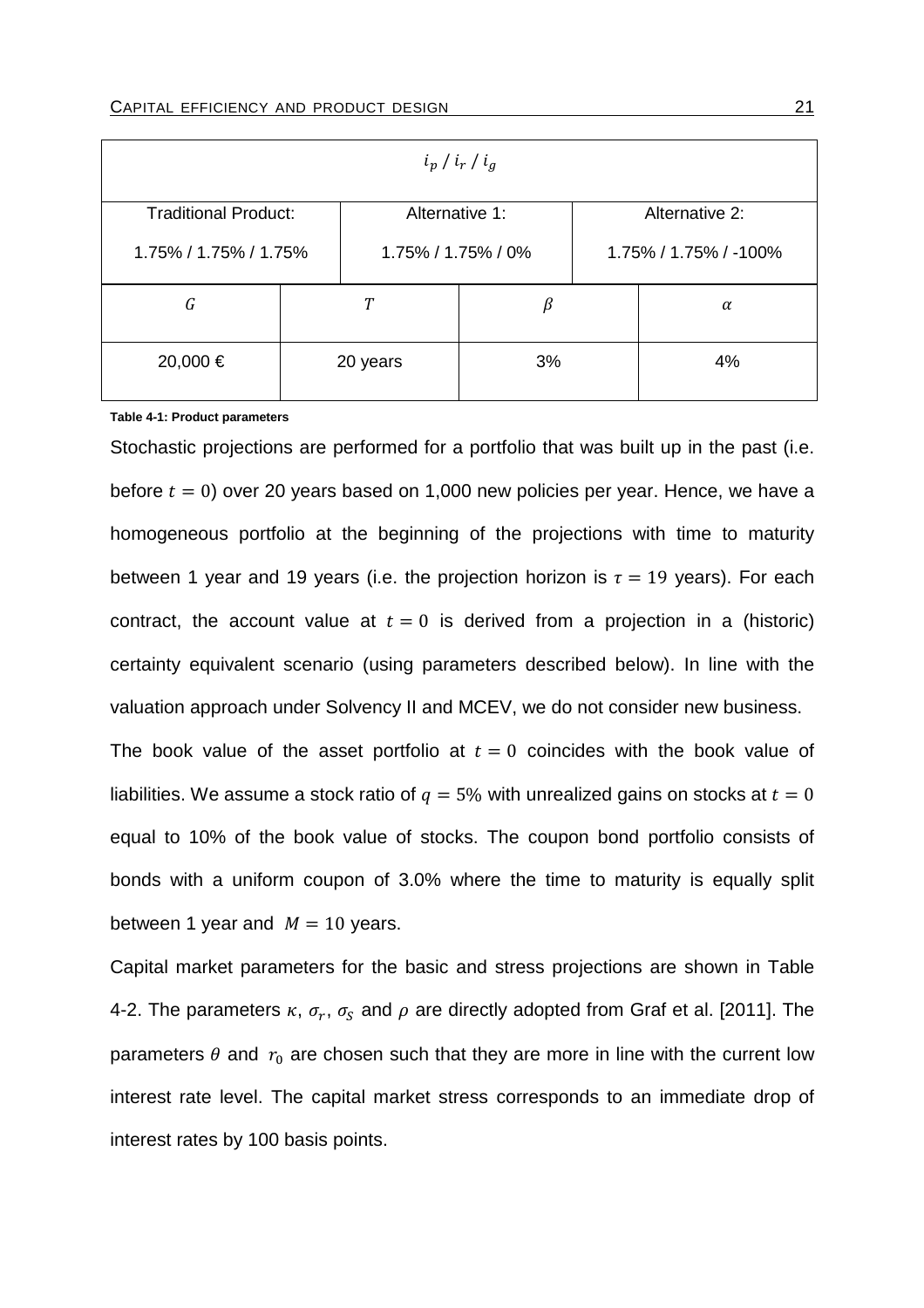| $i_p / i_r / i_g$                                               |  |          |    |  |                       |
|-----------------------------------------------------------------|--|----------|----|--|-----------------------|
| <b>Traditional Product:</b><br>Alternative 1:<br>Alternative 2: |  |          |    |  |                       |
| 1.75% / 1.75% / 1.75%<br>1.75% / 1.75% / 0%                     |  |          |    |  | 1.75% / 1.75% / -100% |
| G                                                               |  |          | β  |  | $\alpha$              |
| 20,000 €                                                        |  | 20 years | 3% |  | 4%                    |

**Table 4-1: Product parameters** 

Stochastic projections are performed for a portfolio that was built up in the past (i.e. before  $t = 0$ ) over 20 years based on 1,000 new policies per year. Hence, we have a homogeneous portfolio at the beginning of the projections with time to maturity between 1 year and 19 years (i.e. the projection horizon is  $\tau = 19$  years). For each contract, the account value at  $t = 0$  is derived from a projection in a (historic) certainty equivalent scenario (using parameters described below). In line with the valuation approach under Solvency II and MCEV, we do not consider new business.

The book value of the asset portfolio at  $t = 0$  coincides with the book value of liabilities. We assume a stock ratio of  $q = 5%$  with unrealized gains on stocks at  $t = 0$ equal to 10% of the book value of stocks. The coupon bond portfolio consists of bonds with a uniform coupon of 3.0% where the time to maturity is equally split between 1 year and  $M = 10$  years.

Capital market parameters for the basic and stress projections are shown in Table 4-2. The parameters  $\kappa$ ,  $\sigma_r$ ,  $\sigma_S$  and  $\rho$  are directly adopted from Graf et al. [2011]. The parameters  $\theta$  and  $r_0$  are chosen such that they are more in line with the current low interest rate level. The capital market stress corresponds to an immediate drop of interest rates by 100 basis points.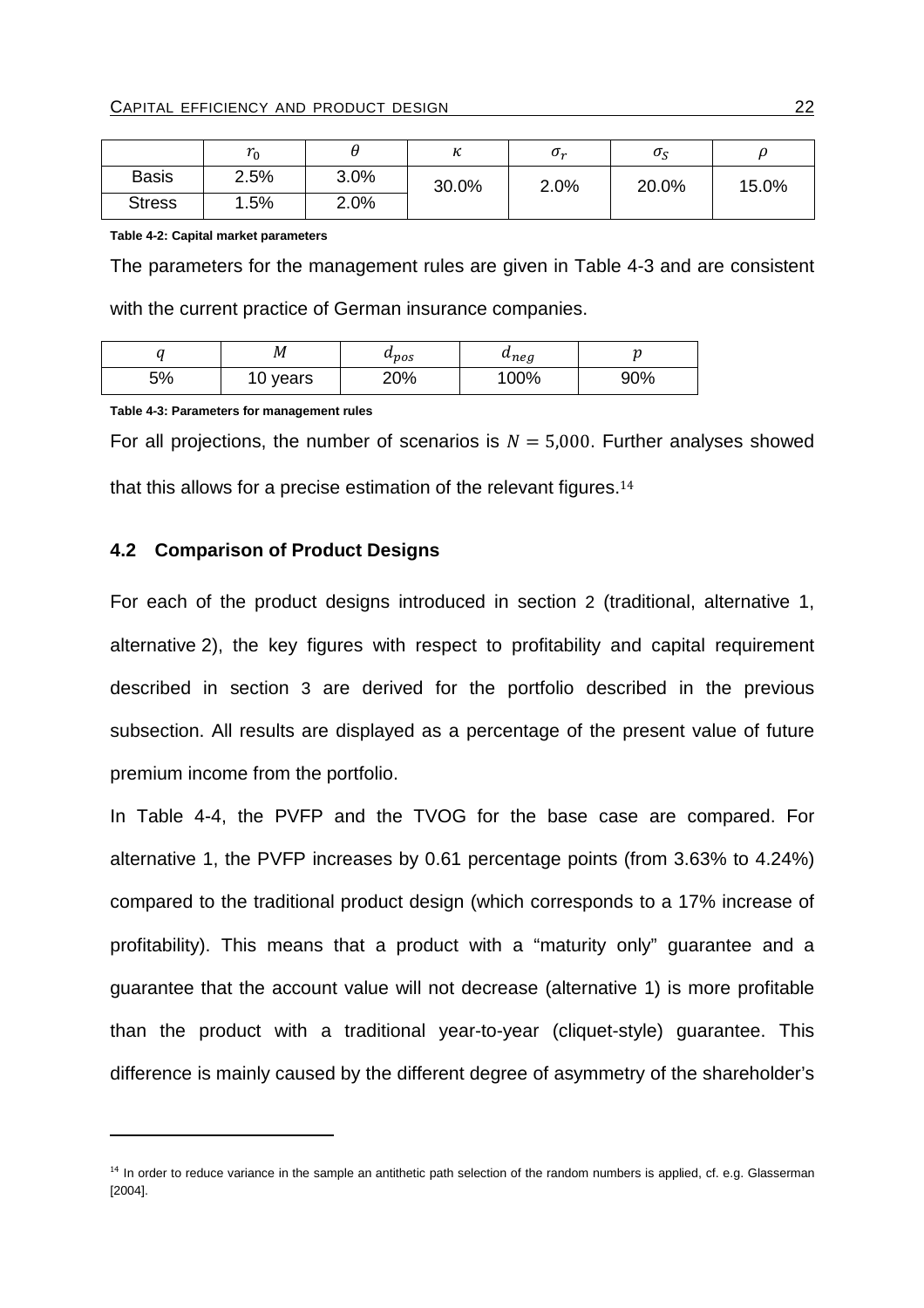|               | ີ<br>0 י |      | 1 L   | $\sigma_r$ | σ     |       |
|---------------|----------|------|-------|------------|-------|-------|
| <b>Basis</b>  | 2.5%     | 3.0% | 30.0% | 2.0%       | 20.0% | 15.0% |
| <b>Stress</b> | 1.5%     | 2.0% |       |            |       |       |

**Table 4-2: Capital market parameters** 

The parameters for the management rules are given in Table 4-3 and are consistent with the current practice of German insurance companies.

|    | М          | $\mathfrak{u}_{pos}$ | $u_{neg}$ | a.  |
|----|------------|----------------------|-----------|-----|
| 5% | years<br>ັ | 20%                  | 100%      | 90% |

**Table 4-3: Parameters for management rules** 

 $\overline{a}$ 

For all projections, the number of scenarios is  $N = 5,000$ . Further analyses showed that this allows for a precise estimation of the relevant figures. $14$ 

#### **4.2 Comparison of Product Designs**

For each of the product designs introduced in section 2 (traditional, alternative 1, alternative 2), the key figures with respect to profitability and capital requirement described in section 3 are derived for the portfolio described in the previous subsection. All results are displayed as a percentage of the present value of future premium income from the portfolio.

In Table 4-4, the PVFP and the TVOG for the base case are compared. For alternative 1, the PVFP increases by 0.61 percentage points (from 3.63% to 4.24%) compared to the traditional product design (which corresponds to a 17% increase of profitability). This means that a product with a "maturity only" guarantee and a guarantee that the account value will not decrease (alternative 1) is more profitable than the product with a traditional year-to-year (cliquet-style) guarantee. This difference is mainly caused by the different degree of asymmetry of the shareholder's

<sup>&</sup>lt;sup>14</sup> In order to reduce variance in the sample an antithetic path selection of the random numbers is applied, cf. e.g. Glasserman [2004].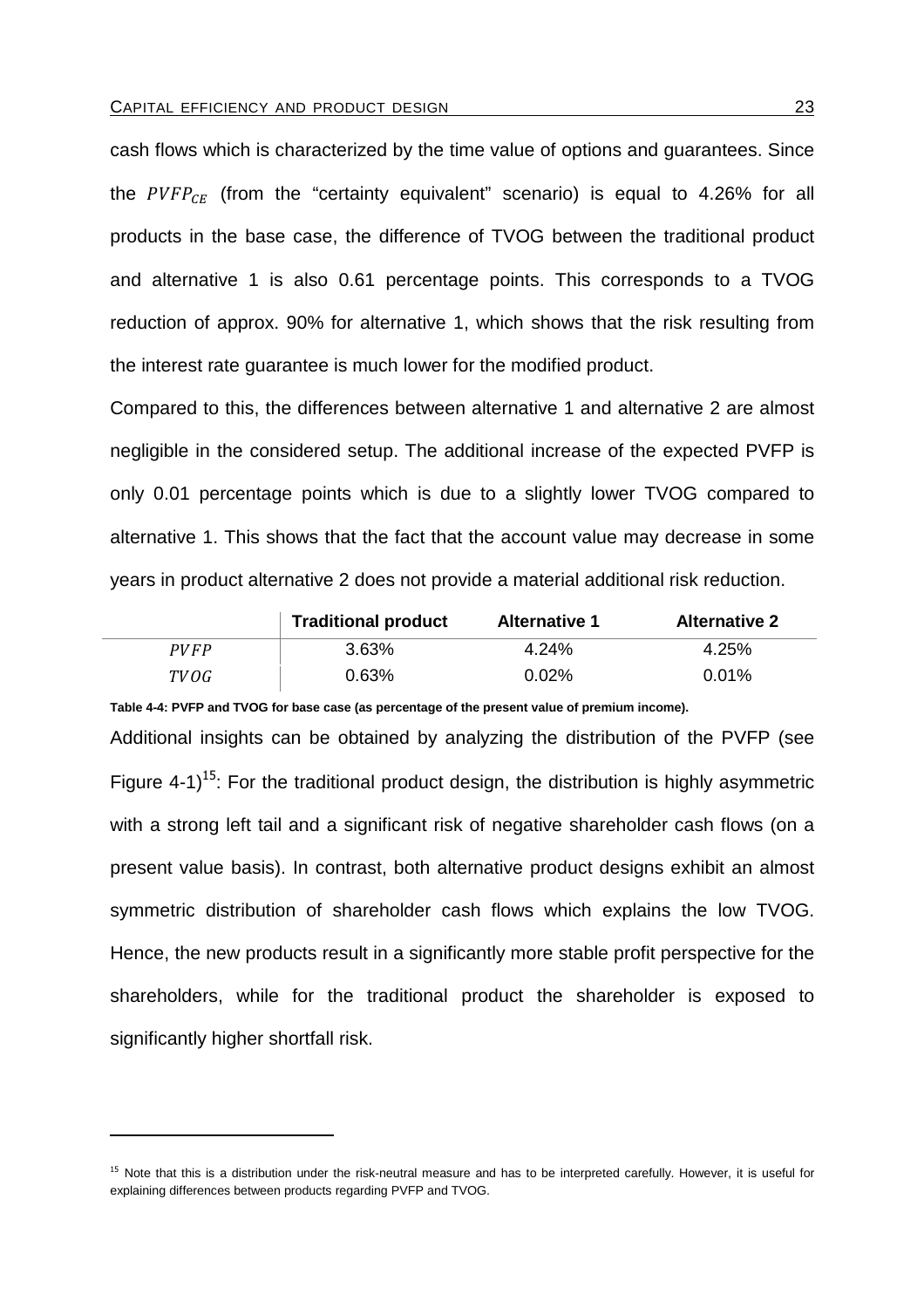cash flows which is characterized by the time value of options and guarantees. Since the  $\mathit{PVFP}_{\mathit{CE}}$  (from the "certainty equivalent" scenario) is equal to 4.26% for all products in the base case, the difference of TVOG between the traditional product and alternative 1 is also 0.61 percentage points. This corresponds to a TVOG reduction of approx. 90% for alternative 1, which shows that the risk resulting from the interest rate guarantee is much lower for the modified product.

Compared to this, the differences between alternative 1 and alternative 2 are almost negligible in the considered setup. The additional increase of the expected PVFP is only 0.01 percentage points which is due to a slightly lower TVOG compared to alternative 1. This shows that the fact that the account value may decrease in some years in product alternative 2 does not provide a material additional risk reduction.

|      | <b>Traditional product</b> | <b>Alternative 1</b> | <b>Alternative 2</b> |
|------|----------------------------|----------------------|----------------------|
| PVFP | 3.63%                      | 4.24%                | 4.25%                |
| TVOG | 0.63%                      | $0.02\%$             | $0.01\%$             |

**Table 4-4: PVFP and TVOG for base case (as percentage of the present value of premium income).** 

Additional insights can be obtained by analyzing the distribution of the PVFP (see Figure 4-1)<sup>15</sup>: For the traditional product design, the distribution is highly asymmetric with a strong left tail and a significant risk of negative shareholder cash flows (on a present value basis). In contrast, both alternative product designs exhibit an almost symmetric distribution of shareholder cash flows which explains the low TVOG. Hence, the new products result in a significantly more stable profit perspective for the shareholders, while for the traditional product the shareholder is exposed to significantly higher shortfall risk.

 $\overline{a}$ 

<sup>&</sup>lt;sup>15</sup> Note that this is a distribution under the risk-neutral measure and has to be interpreted carefully. However, it is useful for explaining differences between products regarding PVFP and TVOG.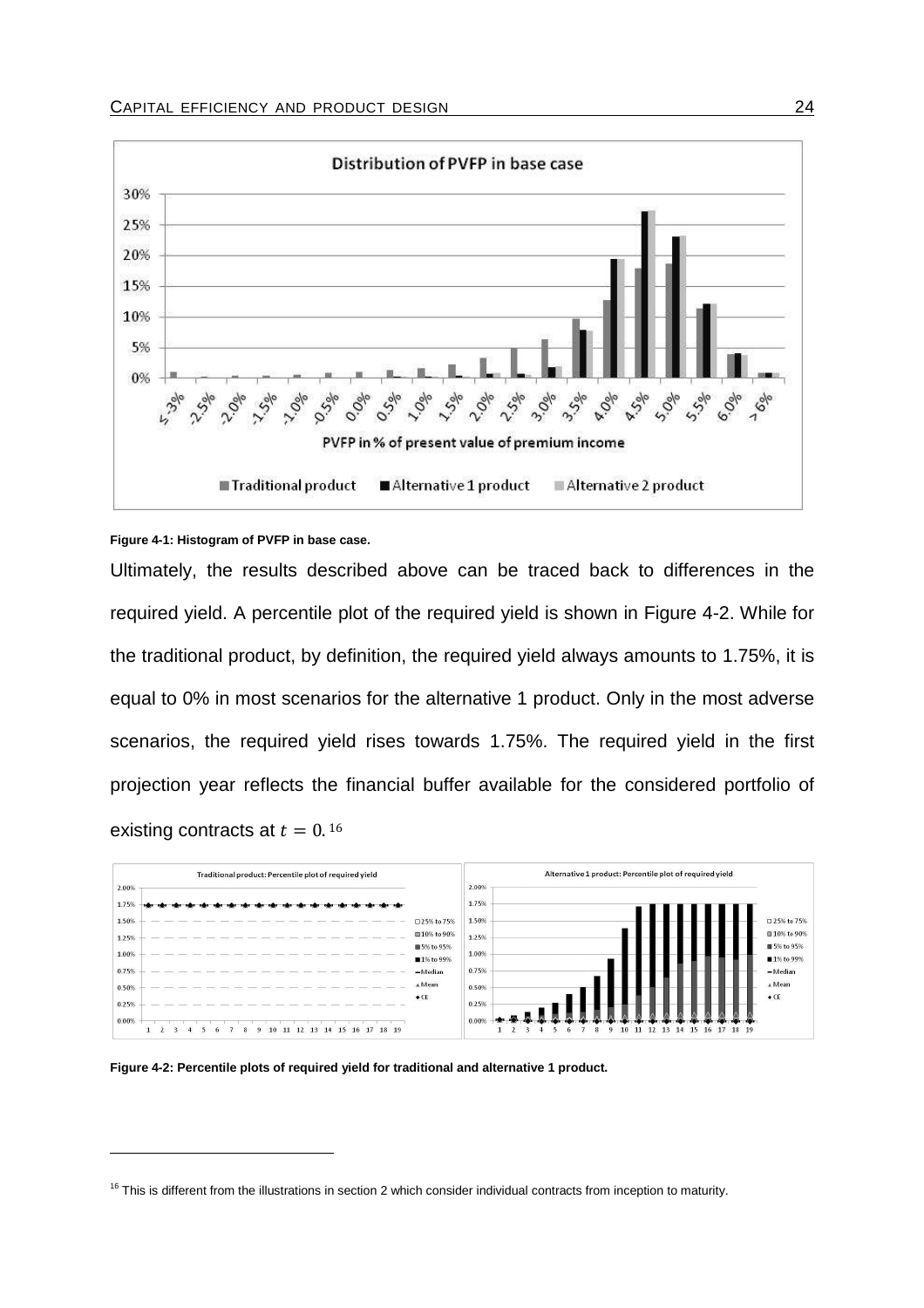

#### **Figure 4-1: Histogram of PVFP in base case.**

Ultimately, the results described above can be traced back to differences in the required yield. A percentile plot of the required yield is shown in Figure 4-2. While for the traditional product, by definition, the required yield always amounts to 1.75%, it is equal to 0% in most scenarios for the alternative 1 product. Only in the most adverse scenarios, the required yield rises towards 1.75%. The required yield in the first projection year reflects the financial buffer available for the considered portfolio of existing contracts at  $t = 0.16$ 

|       | Traditional product: Percentile plot of required yield |                            | Alternative 1 product: Percentile plot of required yield                                                      |                            |
|-------|--------------------------------------------------------|----------------------------|---------------------------------------------------------------------------------------------------------------|----------------------------|
| 2.00% |                                                        |                            | 2.00%                                                                                                         |                            |
| 1.75% |                                                        |                            | 1.75%                                                                                                         |                            |
| 1.50% |                                                        | □25% to 75%                | 1.50%                                                                                                         | □ 25% to 75%               |
| 1.25% |                                                        | <b>■10% to 90%</b>         | 1.25%                                                                                                         | ■10% to 90%                |
| 1.00% |                                                        | ■ 5% to 95%<br>■ 1% to 99% | 1.00%                                                                                                         | ■ 5% to 95%<br>■ 1% to 99% |
| 0.75% |                                                        | $-Median$                  | 0.75%                                                                                                         | $-M$ edian                 |
| 0.50% |                                                        | A Mean                     | 0.50%                                                                                                         | ▲ Mean                     |
| 0.25% |                                                        | $\bullet$ CE               | 0.25%                                                                                                         | $\bullet$ CE               |
| 0.00% |                                                        |                            | 0.00%                                                                                                         |                            |
|       | 9 10 11 12 13 14 15 16 17 18 19                        |                            | 8<br>10<br>12 13<br>$2 \quad 3$<br>5<br>6<br>18 19<br>11<br>14<br>9<br><b>15</b><br><b>16</b><br>$\mathbf{1}$ |                            |

**Figure 4-2: Percentile plots of required yield for traditional and alternative 1 product.** 

 $16$  This is different from the illustrations in section 2 which consider individual contracts from inception to maturity.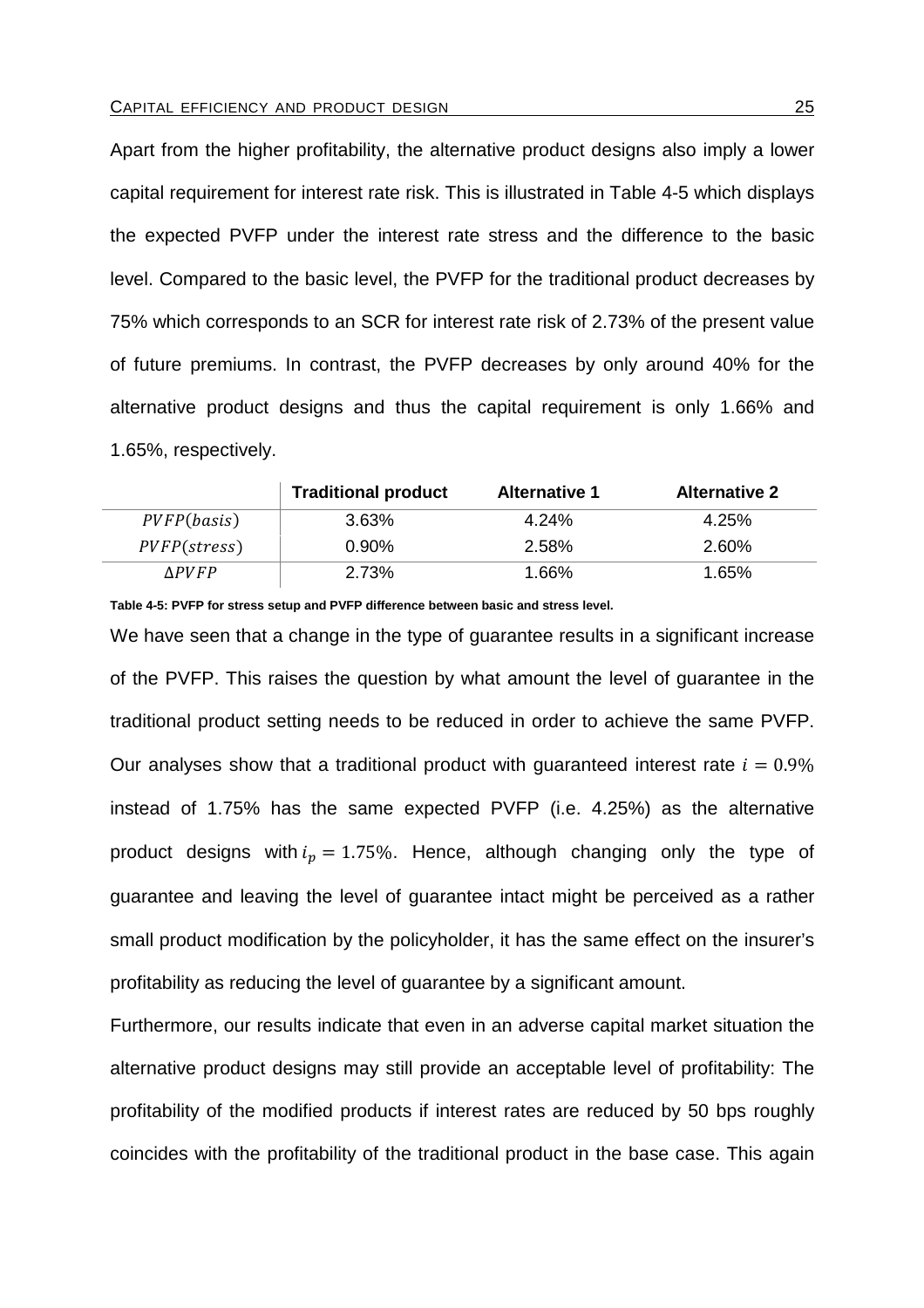Apart from the higher profitability, the alternative product designs also imply a lower capital requirement for interest rate risk. This is illustrated in Table 4-5 which displays the expected PVFP under the interest rate stress and the difference to the basic level. Compared to the basic level, the PVFP for the traditional product decreases by 75% which corresponds to an SCR for interest rate risk of 2.73% of the present value of future premiums. In contrast, the PVFP decreases by only around 40% for the alternative product designs and thus the capital requirement is only 1.66% and 1.65%, respectively.

|                               | <b>Traditional product</b> | <b>Alternative 1</b> | <b>Alternative 2</b> |
|-------------------------------|----------------------------|----------------------|----------------------|
| PVFP(basis)                   | $3.63\%$                   | 4.24%                | 4.25%                |
| <i>PVFP</i> ( <i>stress</i> ) | $0.90\%$                   | 2.58%                | 2.60%                |
| <i><b>APVFP</b></i>           | 2.73%                      | 1.66%                | 1.65%                |

**Table 4-5: PVFP for stress setup and PVFP difference between basic and stress level.** 

We have seen that a change in the type of guarantee results in a significant increase of the PVFP. This raises the question by what amount the level of guarantee in the traditional product setting needs to be reduced in order to achieve the same PVFP. Our analyses show that a traditional product with quaranteed interest rate  $i = 0.9\%$ instead of 1.75% has the same expected PVFP (i.e. 4.25%) as the alternative product designs with  $i_p = 1.75\%$ . Hence, although changing only the type of guarantee and leaving the level of guarantee intact might be perceived as a rather small product modification by the policyholder, it has the same effect on the insurer's profitability as reducing the level of guarantee by a significant amount.

Furthermore, our results indicate that even in an adverse capital market situation the alternative product designs may still provide an acceptable level of profitability: The profitability of the modified products if interest rates are reduced by 50 bps roughly coincides with the profitability of the traditional product in the base case. This again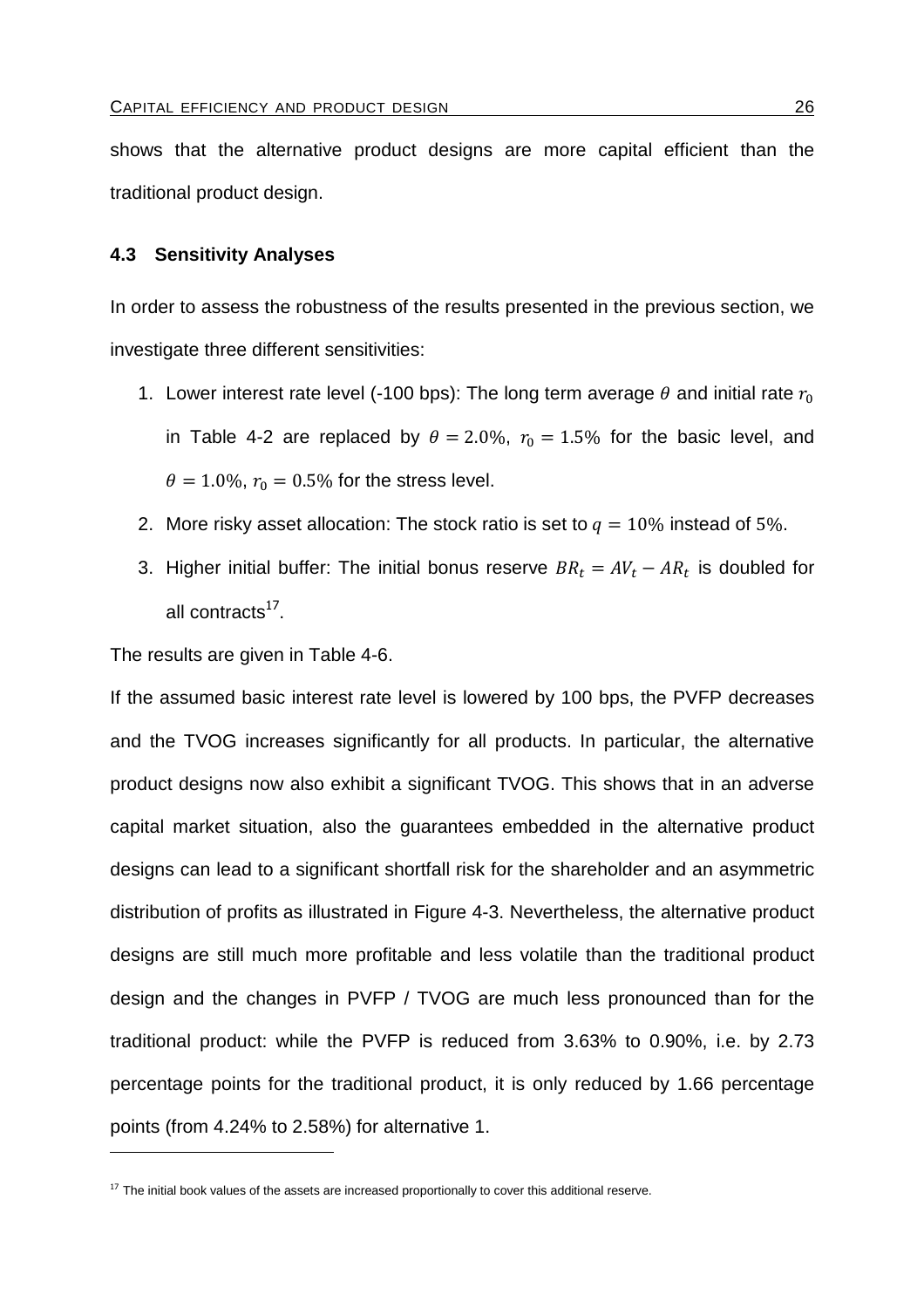shows that the alternative product designs are more capital efficient than the traditional product design.

# **4.3 Sensitivity Analyses**

In order to assess the robustness of the results presented in the previous section, we investigate three different sensitivities:

- 1. Lower interest rate level (-100 bps): The long term average  $\theta$  and initial rate  $r_0$ in Table 4-2 are replaced by  $\theta = 2.0\%$ ,  $r_0 = 1.5\%$  for the basic level, and  $\theta = 1.0\%$ ,  $r_0 = 0.5\%$  for the stress level.
- 2. More risky asset allocation: The stock ratio is set to  $q = 10\%$  instead of 5%.
- 3. Higher initial buffer: The initial bonus reserve  $BR_t = AV_t AR_t$  is doubled for all contracts<sup>17</sup>.

The results are given in Table 4-6.

If the assumed basic interest rate level is lowered by 100 bps, the PVFP decreases and the TVOG increases significantly for all products. In particular, the alternative product designs now also exhibit a significant TVOG. This shows that in an adverse capital market situation, also the guarantees embedded in the alternative product designs can lead to a significant shortfall risk for the shareholder and an asymmetric distribution of profits as illustrated in Figure 4-3. Nevertheless, the alternative product designs are still much more profitable and less volatile than the traditional product design and the changes in PVFP / TVOG are much less pronounced than for the traditional product: while the PVFP is reduced from 3.63% to 0.90%, i.e. by 2.73 percentage points for the traditional product, it is only reduced by 1.66 percentage points (from 4.24% to 2.58%) for alternative 1.

 $17$  The initial book values of the assets are increased proportionally to cover this additional reserve.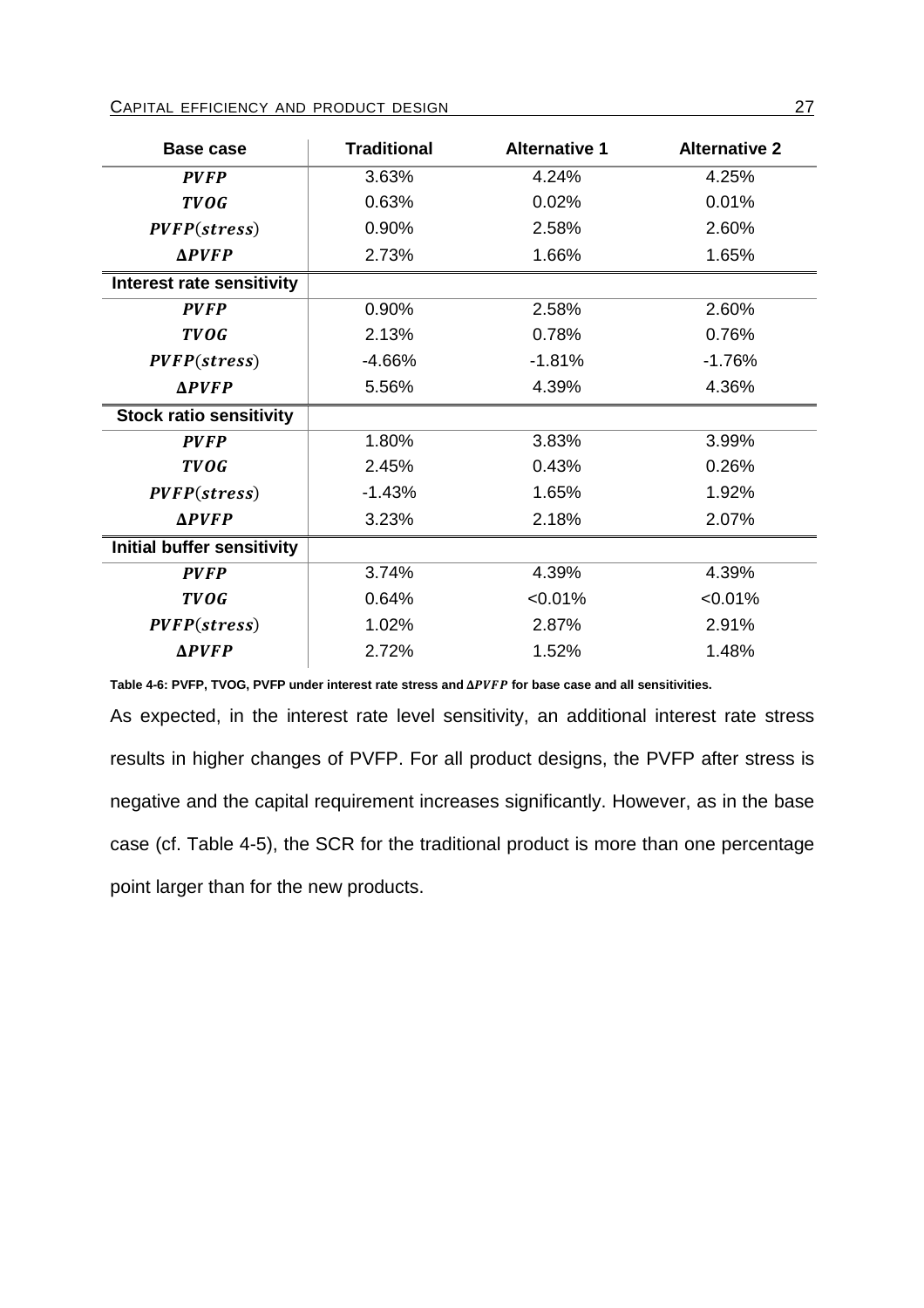| Base case                      | <b>Traditional</b> | <b>Alternative 1</b> | <b>Alternative 2</b> |  |
|--------------------------------|--------------------|----------------------|----------------------|--|
| <b>PVFP</b>                    | 3.63%              | 4.24%                | 4.25%                |  |
| <b>TVOG</b>                    | 0.63%              | 0.02%                | 0.01%                |  |
| PVFP (stress)                  | 0.90%              | 2.58%                | 2.60%                |  |
| $\Delta$ <i>PVFP</i>           | 2.73%              | 1.66%<br>1.65%       |                      |  |
| Interest rate sensitivity      |                    |                      |                      |  |
| <b>PVFP</b>                    | 0.90%              | 2.58%                | 2.60%                |  |
| <b>TVOG</b>                    | 2.13%              | 0.78%                | 0.76%                |  |
| PVFP (stress)                  | $-4.66%$           | $-1.81%$             | $-1.76%$             |  |
| $\Delta$ <i>PVFP</i>           | 5.56%<br>4.39%     |                      | 4.36%                |  |
| <b>Stock ratio sensitivity</b> |                    |                      |                      |  |
| <b>PVFP</b>                    | 1.80%              | 3.83%                | 3.99%                |  |
| <b>TVOG</b>                    | 2.45%              | 0.43%                | 0.26%                |  |
| PVFP (stress)                  | $-1.43%$           | 1.65%                | 1.92%                |  |
| $\Delta$ <i>PVFP</i>           | 3.23%              | 2.18%                | 2.07%                |  |
| Initial buffer sensitivity     |                    |                      |                      |  |
| <b>PVFP</b>                    | 3.74%              | 4.39%                | 4.39%                |  |
| <b>TVOG</b>                    | 0.64%              | < 0.01%              | < 0.01%              |  |
| PVFP (stress)                  | 1.02%              | 2.87%                | 2.91%                |  |
| $\Delta$ PVFP                  | 2.72%              | 1.52%                | 1.48%                |  |

Table 4-6: PVFP, TVOG, PVFP under interest rate stress and  $\Delta PVFP$  for base case and all sensitivities.

As expected, in the interest rate level sensitivity, an additional interest rate stress results in higher changes of PVFP. For all product designs, the PVFP after stress is negative and the capital requirement increases significantly. However, as in the base case (cf. Table 4-5), the SCR for the traditional product is more than one percentage point larger than for the new products.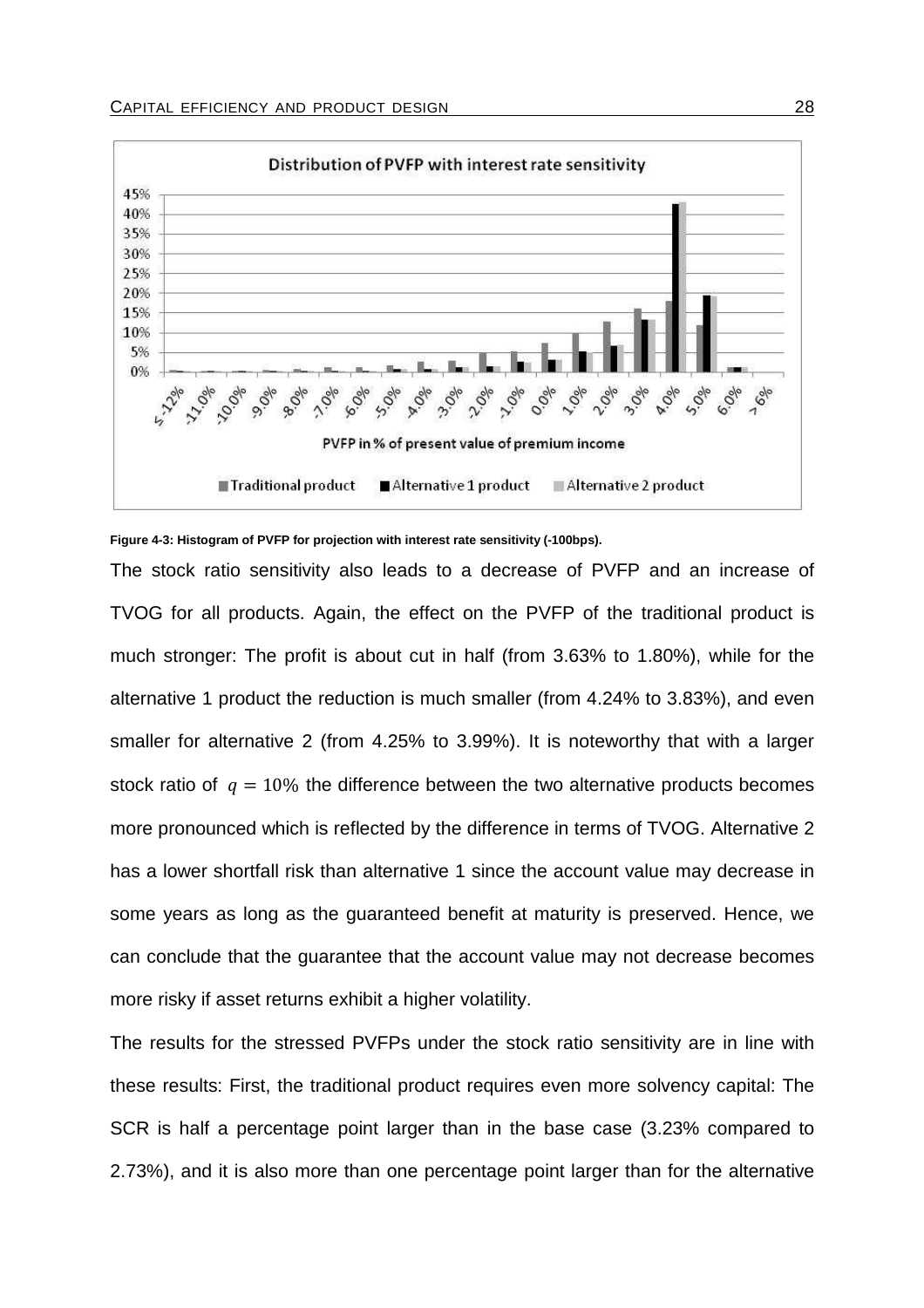

#### **Figure 4-3: Histogram of PVFP for projection with interest rate sensitivity (-100bps).**

The stock ratio sensitivity also leads to a decrease of PVFP and an increase of TVOG for all products. Again, the effect on the PVFP of the traditional product is much stronger: The profit is about cut in half (from 3.63% to 1.80%), while for the alternative 1 product the reduction is much smaller (from 4.24% to 3.83%), and even smaller for alternative 2 (from 4.25% to 3.99%). It is noteworthy that with a larger stock ratio of  $q = 10\%$  the difference between the two alternative products becomes more pronounced which is reflected by the difference in terms of TVOG. Alternative 2 has a lower shortfall risk than alternative 1 since the account value may decrease in some years as long as the guaranteed benefit at maturity is preserved. Hence, we can conclude that the guarantee that the account value may not decrease becomes more risky if asset returns exhibit a higher volatility.

The results for the stressed PVFPs under the stock ratio sensitivity are in line with these results: First, the traditional product requires even more solvency capital: The SCR is half a percentage point larger than in the base case (3.23% compared to 2.73%), and it is also more than one percentage point larger than for the alternative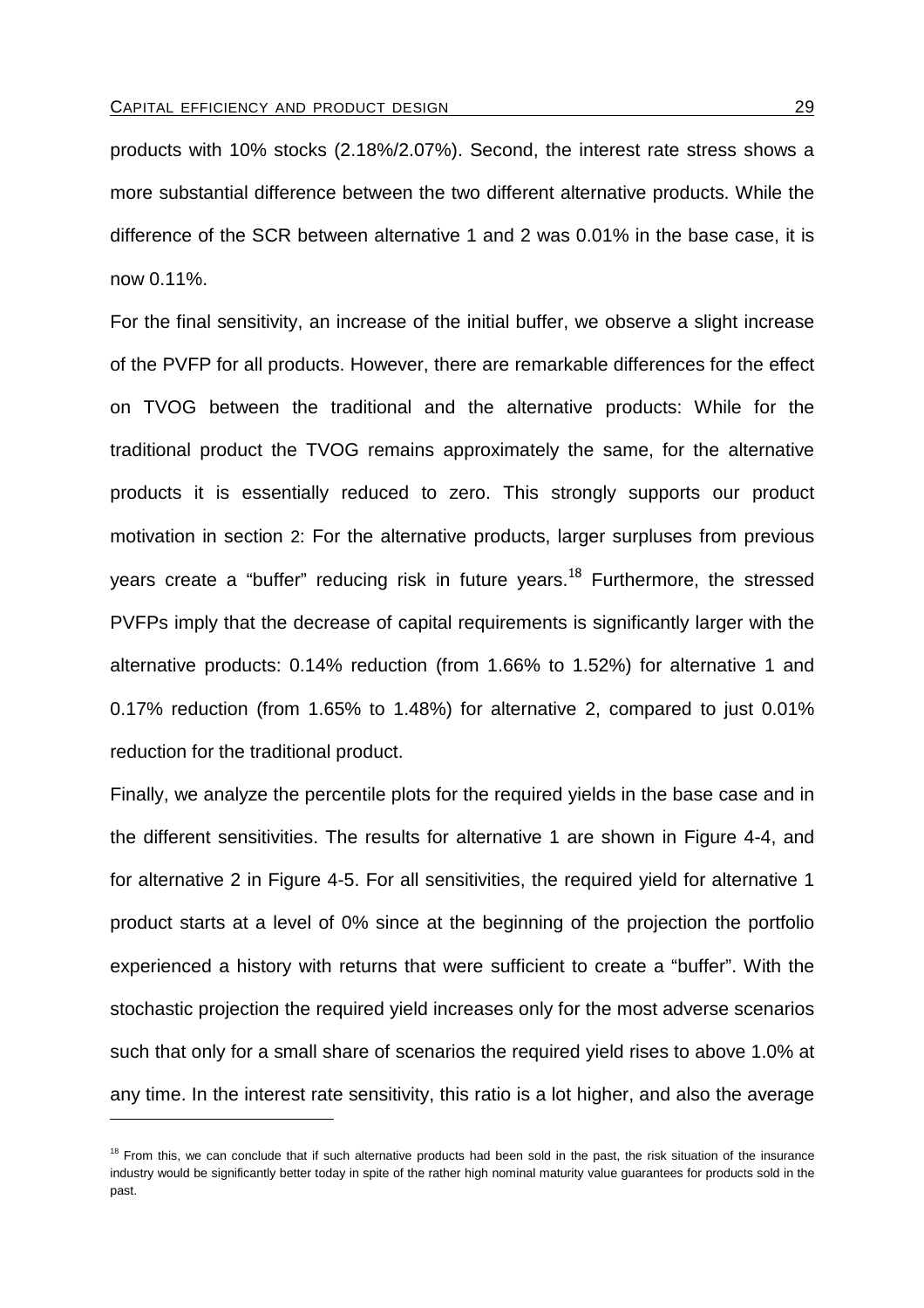products with 10% stocks (2.18%/2.07%). Second, the interest rate stress shows a more substantial difference between the two different alternative products. While the difference of the SCR between alternative 1 and 2 was 0.01% in the base case, it is now 0.11%.

For the final sensitivity, an increase of the initial buffer, we observe a slight increase of the PVFP for all products. However, there are remarkable differences for the effect on TVOG between the traditional and the alternative products: While for the traditional product the TVOG remains approximately the same, for the alternative products it is essentially reduced to zero. This strongly supports our product motivation in section 2: For the alternative products, larger surpluses from previous years create a "buffer" reducing risk in future years.<sup>18</sup> Furthermore, the stressed PVFPs imply that the decrease of capital requirements is significantly larger with the alternative products: 0.14% reduction (from 1.66% to 1.52%) for alternative 1 and 0.17% reduction (from 1.65% to 1.48%) for alternative 2, compared to just 0.01% reduction for the traditional product.

Finally, we analyze the percentile plots for the required yields in the base case and in the different sensitivities. The results for alternative 1 are shown in Figure 4-4, and for alternative 2 in Figure 4-5. For all sensitivities, the required yield for alternative 1 product starts at a level of 0% since at the beginning of the projection the portfolio experienced a history with returns that were sufficient to create a "buffer". With the stochastic projection the required yield increases only for the most adverse scenarios such that only for a small share of scenarios the required yield rises to above 1.0% at any time. In the interest rate sensitivity, this ratio is a lot higher, and also the average

 $18$  From this, we can conclude that if such alternative products had been sold in the past, the risk situation of the insurance industry would be significantly better today in spite of the rather high nominal maturity value guarantees for products sold in the past.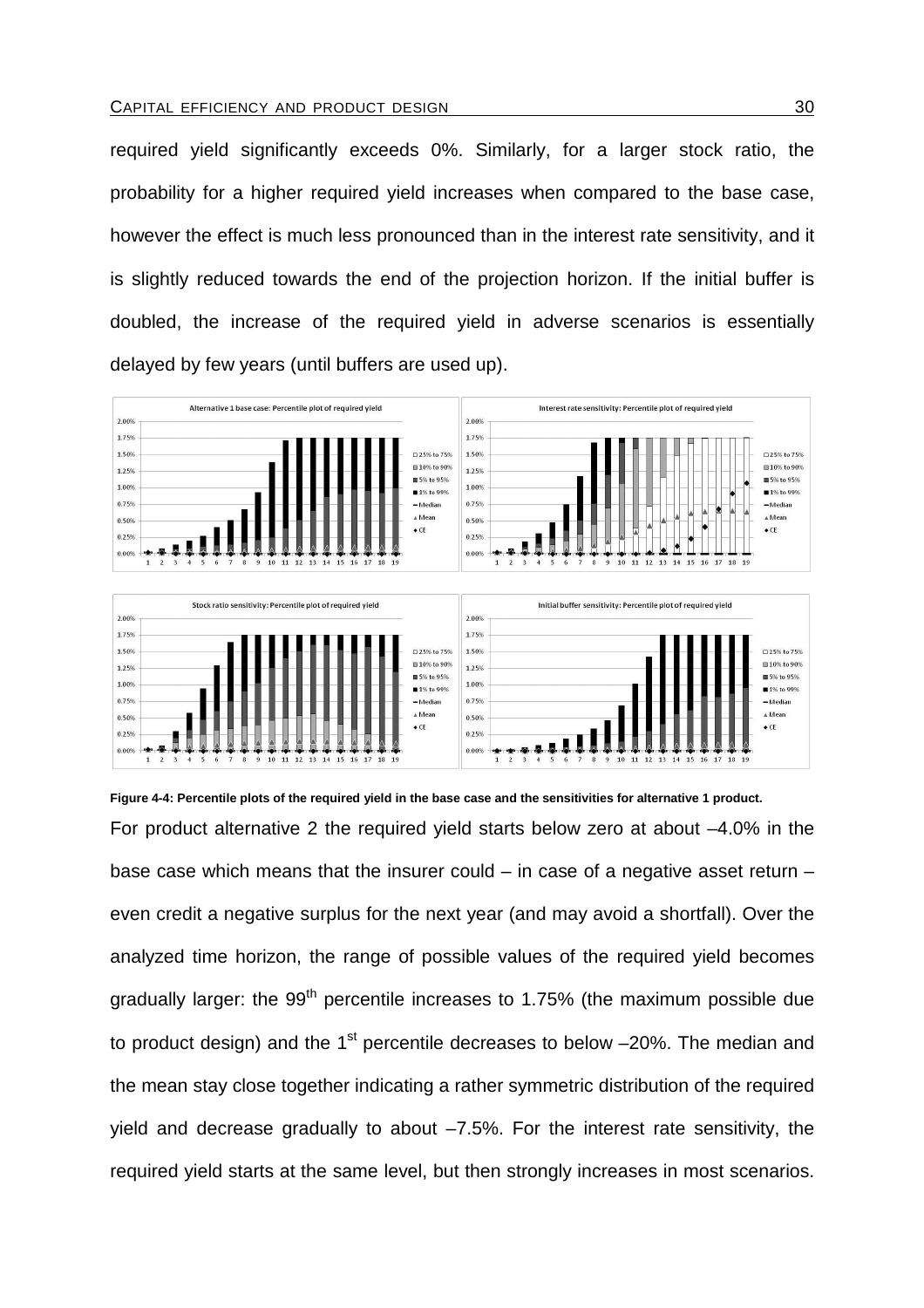required yield significantly exceeds 0%. Similarly, for a larger stock ratio, the probability for a higher required yield increases when compared to the base case, however the effect is much less pronounced than in the interest rate sensitivity, and it is slightly reduced towards the end of the projection horizon. If the initial buffer is doubled, the increase of the required yield in adverse scenarios is essentially delayed by few years (until buffers are used up).



**Figure 4-4: Percentile plots of the required yield in the base case and the sensitivities for alternative 1 product.**  For product alternative 2 the required yield starts below zero at about –4.0% in the base case which means that the insurer could – in case of a negative asset return – even credit a negative surplus for the next year (and may avoid a shortfall). Over the analyzed time horizon, the range of possible values of the required yield becomes gradually larger: the  $99<sup>th</sup>$  percentile increases to 1.75% (the maximum possible due to product design) and the  $1<sup>st</sup>$  percentile decreases to below  $-20\%$ . The median and the mean stay close together indicating a rather symmetric distribution of the required yield and decrease gradually to about –7.5%. For the interest rate sensitivity, the required yield starts at the same level, but then strongly increases in most scenarios.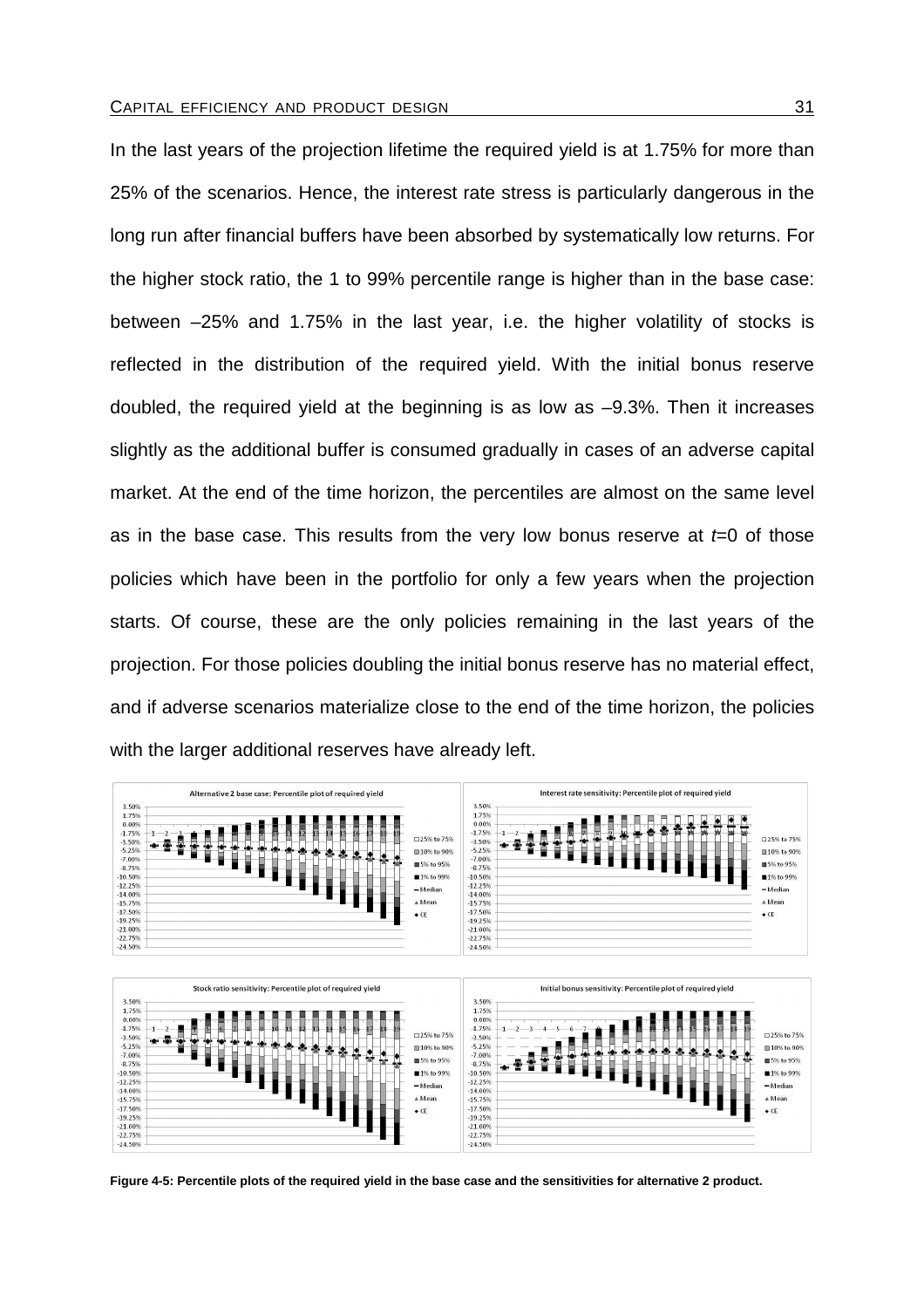In the last years of the projection lifetime the required yield is at 1.75% for more than 25% of the scenarios. Hence, the interest rate stress is particularly dangerous in the long run after financial buffers have been absorbed by systematically low returns. For the higher stock ratio, the 1 to 99% percentile range is higher than in the base case: between –25% and 1.75% in the last year, i.e. the higher volatility of stocks is reflected in the distribution of the required yield. With the initial bonus reserve doubled, the required yield at the beginning is as low as –9.3%. Then it increases slightly as the additional buffer is consumed gradually in cases of an adverse capital market. At the end of the time horizon, the percentiles are almost on the same level as in the base case. This results from the very low bonus reserve at  $t=0$  of those policies which have been in the portfolio for only a few years when the projection starts. Of course, these are the only policies remaining in the last years of the projection. For those policies doubling the initial bonus reserve has no material effect, and if adverse scenarios materialize close to the end of the time horizon, the policies with the larger additional reserves have already left.



**Figure 4-5: Percentile plots of the required yield in the base case and the sensitivities for alternative 2 product.**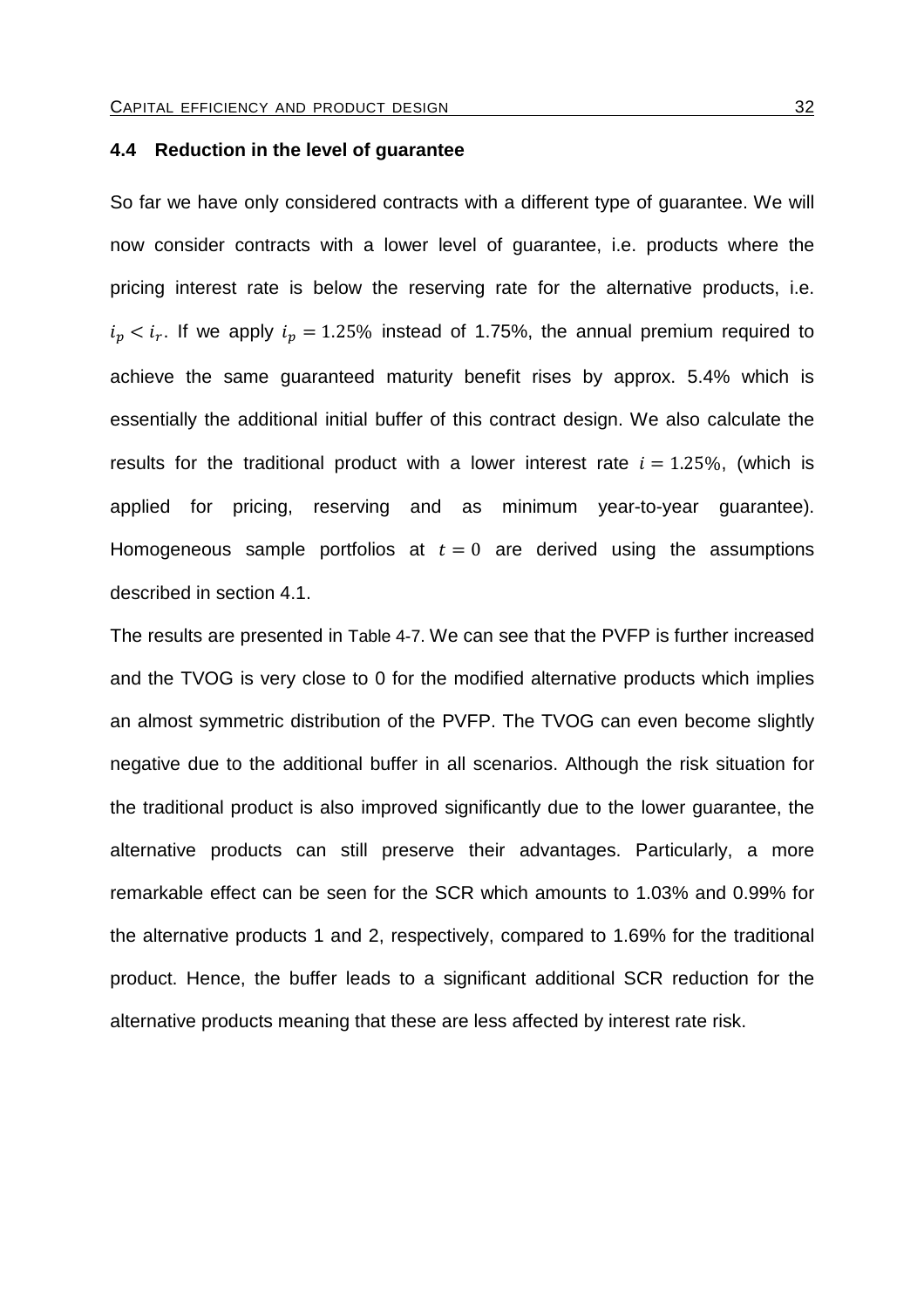#### **4.4 Reduction in the level of guarantee**

So far we have only considered contracts with a different type of guarantee. We will now consider contracts with a lower level of guarantee, i.e. products where the pricing interest rate is below the reserving rate for the alternative products, i.e.  $i_p < i_r$ . If we apply  $i_p = 1.25\%$  instead of 1.75%, the annual premium required to achieve the same guaranteed maturity benefit rises by approx. 5.4% which is essentially the additional initial buffer of this contract design. We also calculate the results for the traditional product with a lower interest rate  $i = 1.25\%$ , (which is applied for pricing, reserving and as minimum year-to-year guarantee). Homogeneous sample portfolios at  $t = 0$  are derived using the assumptions described in section 4.1.

The results are presented in Table 4-7. We can see that the PVFP is further increased and the TVOG is very close to 0 for the modified alternative products which implies an almost symmetric distribution of the PVFP. The TVOG can even become slightly negative due to the additional buffer in all scenarios. Although the risk situation for the traditional product is also improved significantly due to the lower guarantee, the alternative products can still preserve their advantages. Particularly, a more remarkable effect can be seen for the SCR which amounts to 1.03% and 0.99% for the alternative products 1 and 2, respectively, compared to 1.69% for the traditional product. Hence, the buffer leads to a significant additional SCR reduction for the alternative products meaning that these are less affected by interest rate risk.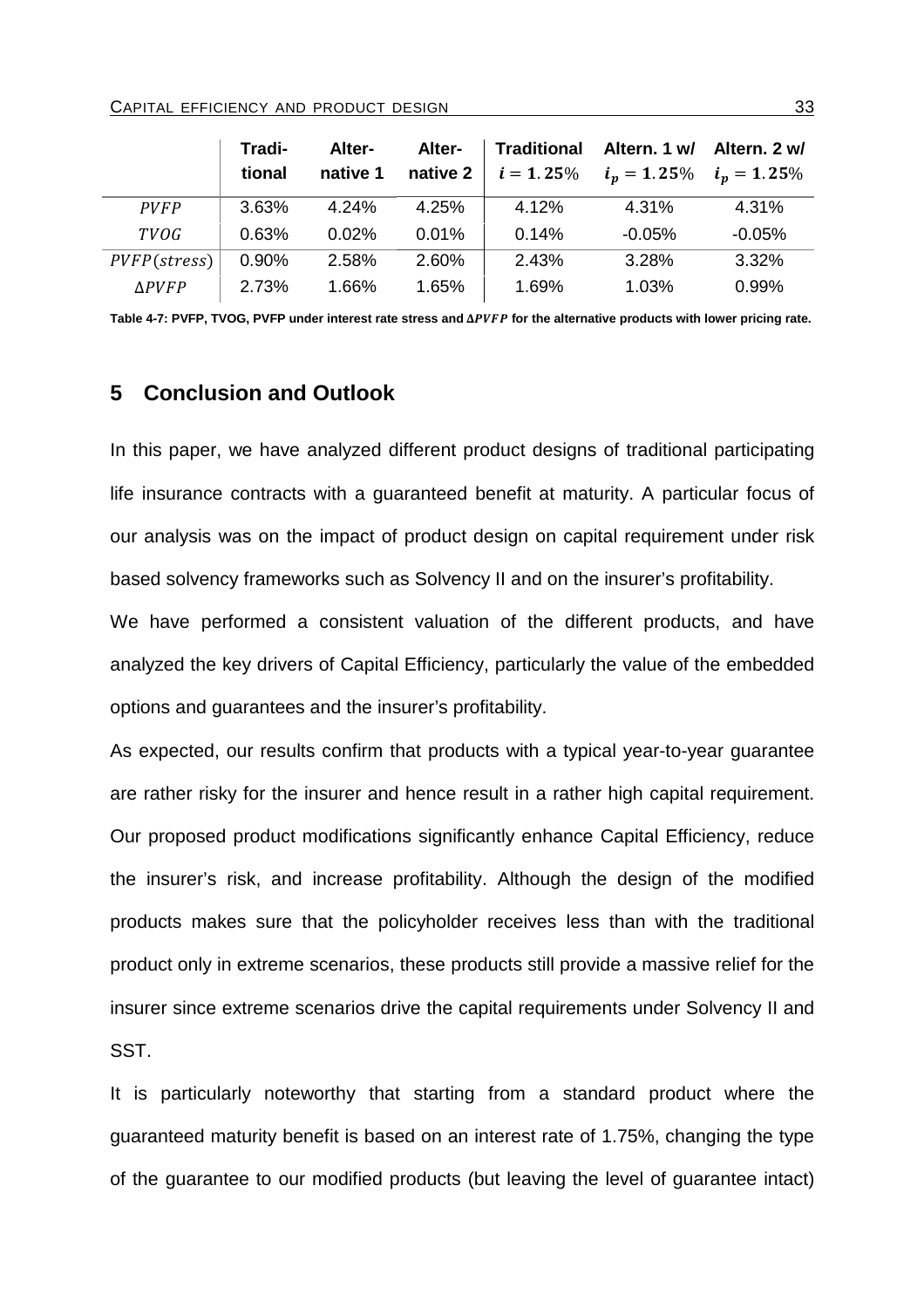|                       | Tradi-   | Alter-   | Alter-   |              | Traditional Altern. 1 w/ Altern. 2 w/ |          |
|-----------------------|----------|----------|----------|--------------|---------------------------------------|----------|
|                       | tional   | native 1 | native 2 | $i = 1.25\%$ | $i_p = 1.25\%$ $i_p = 1.25\%$         |          |
| <b>PVFP</b>           | 3.63%    | 4.24%    | 4.25%    | 4.12%        | 4.31%                                 | 4.31%    |
| <b>TVOG</b>           | 0.63%    | 0.02%    | 0.01%    | 0.14%        | $-0.05%$                              | $-0.05%$ |
| $PVFP(\text{stress})$ | $0.90\%$ | 2.58%    | 2.60%    | 2.43%        | 3.28%                                 | 3.32%    |
| <b>APVFP</b>          | 2.73%    | 1.66%    | 1.65%    | 1.69%        | 1.03%                                 | 0.99%    |

Table 4-7: PVFP, TVOG, PVFP under interest rate stress and  $\Delta PVFP$  for the alternative products with lower pricing rate.

# **5 Conclusion and Outlook**

In this paper, we have analyzed different product designs of traditional participating life insurance contracts with a guaranteed benefit at maturity. A particular focus of our analysis was on the impact of product design on capital requirement under risk based solvency frameworks such as Solvency II and on the insurer's profitability.

We have performed a consistent valuation of the different products, and have analyzed the key drivers of Capital Efficiency, particularly the value of the embedded options and guarantees and the insurer's profitability.

As expected, our results confirm that products with a typical year-to-year guarantee are rather risky for the insurer and hence result in a rather high capital requirement. Our proposed product modifications significantly enhance Capital Efficiency, reduce the insurer's risk, and increase profitability. Although the design of the modified products makes sure that the policyholder receives less than with the traditional product only in extreme scenarios, these products still provide a massive relief for the insurer since extreme scenarios drive the capital requirements under Solvency II and SST.

It is particularly noteworthy that starting from a standard product where the guaranteed maturity benefit is based on an interest rate of 1.75%, changing the type of the guarantee to our modified products (but leaving the level of guarantee intact)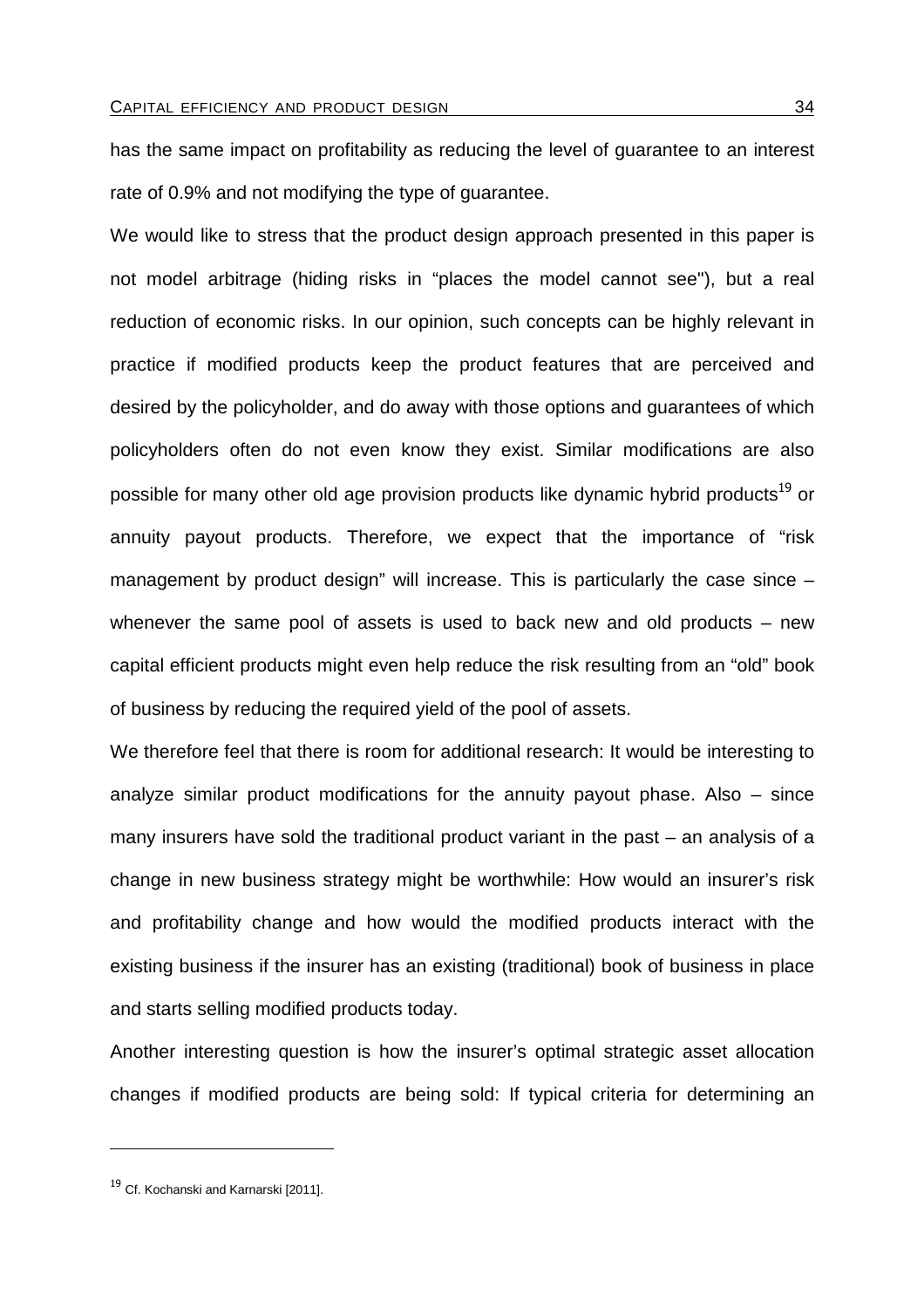has the same impact on profitability as reducing the level of guarantee to an interest rate of 0.9% and not modifying the type of guarantee.

We would like to stress that the product design approach presented in this paper is not model arbitrage (hiding risks in "places the model cannot see"), but a real reduction of economic risks. In our opinion, such concepts can be highly relevant in practice if modified products keep the product features that are perceived and desired by the policyholder, and do away with those options and guarantees of which policyholders often do not even know they exist. Similar modifications are also possible for many other old age provision products like dynamic hybrid products<sup>19</sup> or annuity payout products. Therefore, we expect that the importance of "risk management by product design" will increase. This is particularly the case since – whenever the same pool of assets is used to back new and old products – new capital efficient products might even help reduce the risk resulting from an "old" book of business by reducing the required yield of the pool of assets.

We therefore feel that there is room for additional research: It would be interesting to analyze similar product modifications for the annuity payout phase. Also – since many insurers have sold the traditional product variant in the past – an analysis of a change in new business strategy might be worthwhile: How would an insurer's risk and profitability change and how would the modified products interact with the existing business if the insurer has an existing (traditional) book of business in place and starts selling modified products today.

Another interesting question is how the insurer's optimal strategic asset allocation changes if modified products are being sold: If typical criteria for determining an

 $\overline{a}$ 

<sup>&</sup>lt;sup>19</sup> Cf. Kochanski and Karnarski [2011].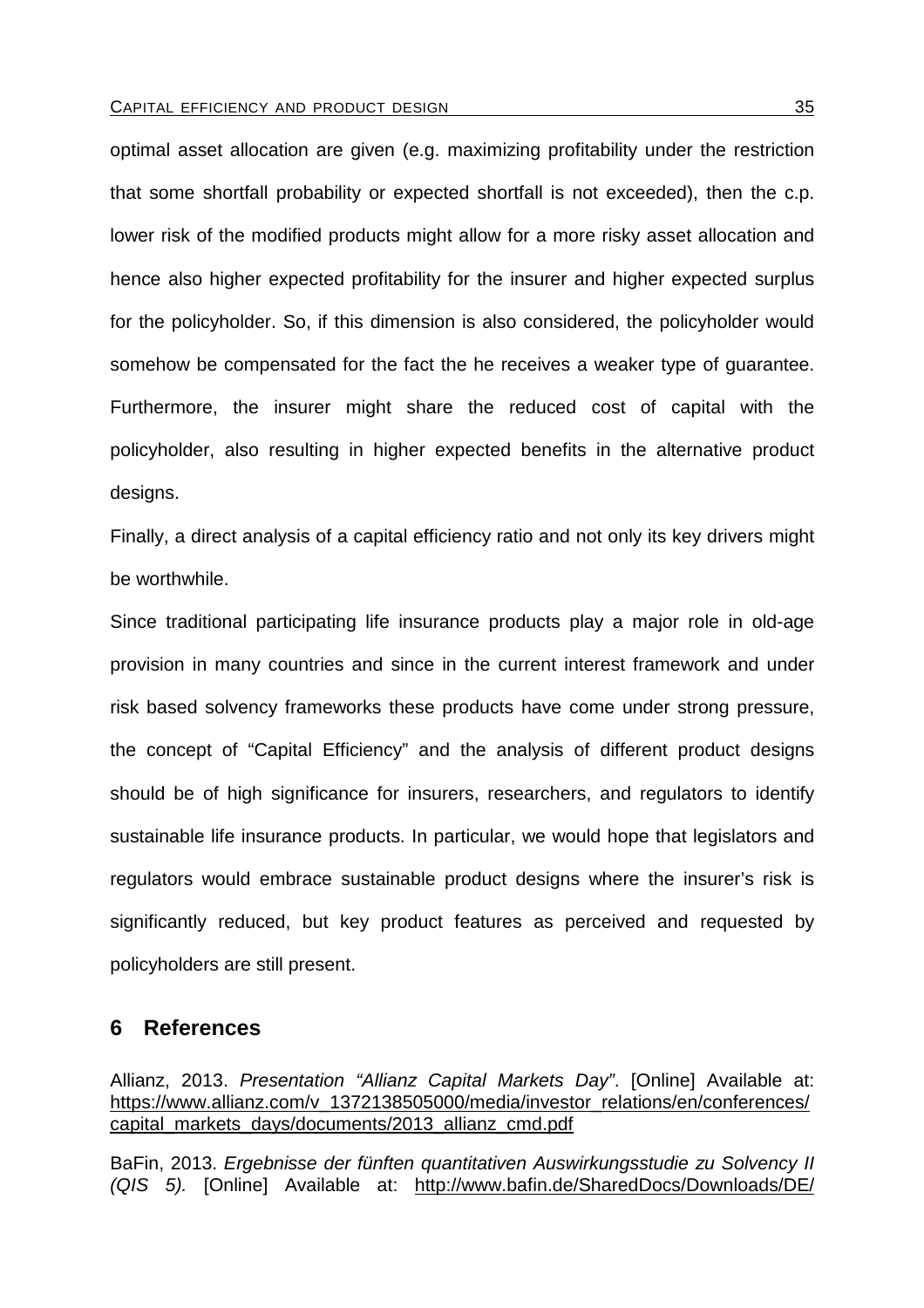optimal asset allocation are given (e.g. maximizing profitability under the restriction that some shortfall probability or expected shortfall is not exceeded), then the c.p. lower risk of the modified products might allow for a more risky asset allocation and hence also higher expected profitability for the insurer and higher expected surplus for the policyholder. So, if this dimension is also considered, the policyholder would somehow be compensated for the fact the he receives a weaker type of guarantee. Furthermore, the insurer might share the reduced cost of capital with the policyholder, also resulting in higher expected benefits in the alternative product designs.

Finally, a direct analysis of a capital efficiency ratio and not only its key drivers might be worthwhile.

Since traditional participating life insurance products play a major role in old-age provision in many countries and since in the current interest framework and under risk based solvency frameworks these products have come under strong pressure, the concept of "Capital Efficiency" and the analysis of different product designs should be of high significance for insurers, researchers, and regulators to identify sustainable life insurance products. In particular, we would hope that legislators and regulators would embrace sustainable product designs where the insurer's risk is significantly reduced, but key product features as perceived and requested by policyholders are still present.

# **6 References**

Allianz, 2013. Presentation "Allianz Capital Markets Day". [Online] Available at: https://www.allianz.com/v\_1372138505000/media/investor\_relations/en/conferences/ capital\_markets\_days/documents/2013\_allianz\_cmd.pdf

BaFin, 2013. Ergebnisse der fünften quantitativen Auswirkungsstudie zu Solvency II (QIS 5). [Online] Available at: http://www.bafin.de/SharedDocs/Downloads/DE/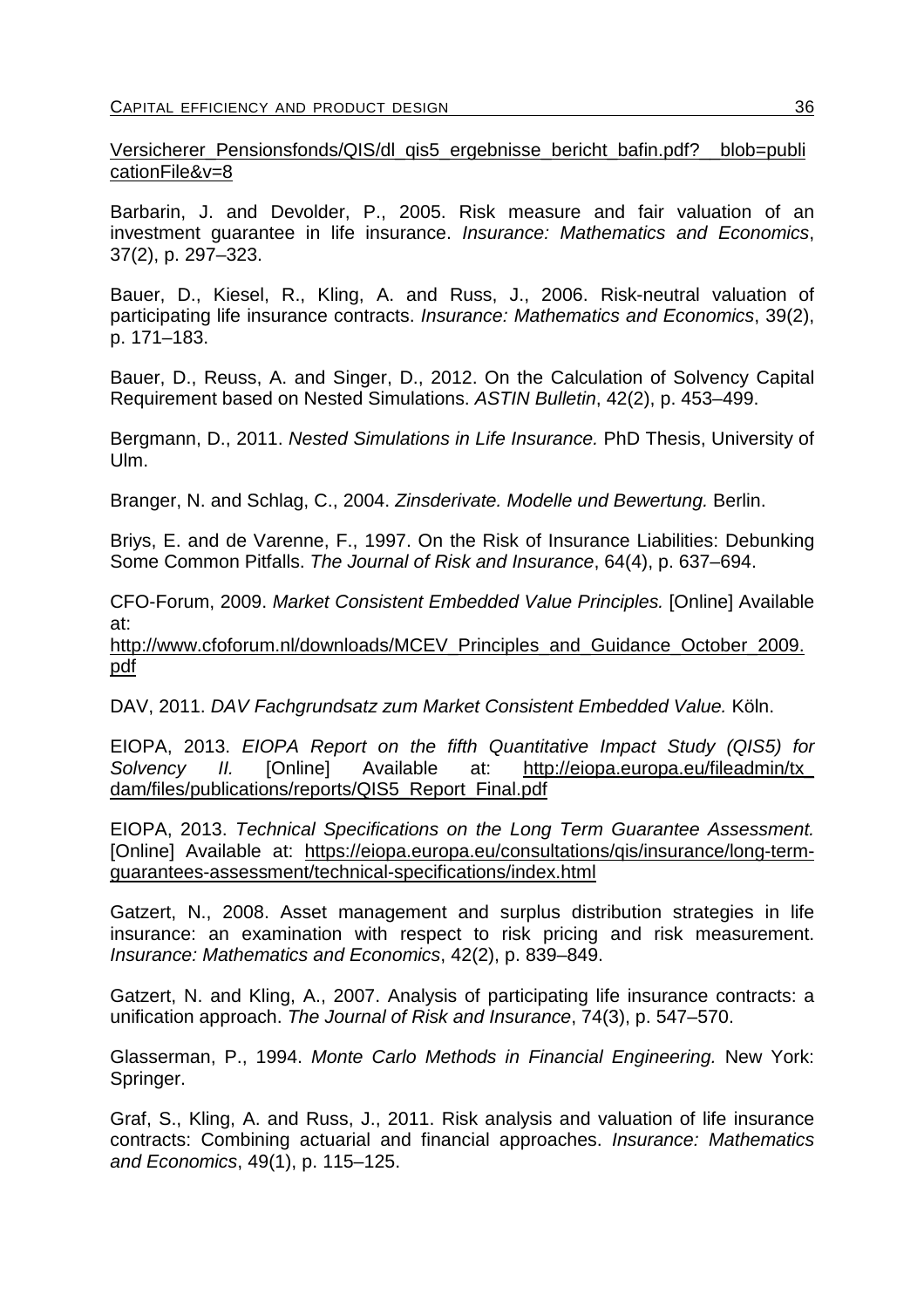Versicherer Pensionsfonds/QIS/dl\_qis5\_ergebnisse\_bericht\_bafin.pdf?\_\_blob=publi cationFile&v=8

Barbarin, J. and Devolder, P., 2005. Risk measure and fair valuation of an investment guarantee in life insurance. Insurance: Mathematics and Economics, 37(2), p. 297–323.

Bauer, D., Kiesel, R., Kling, A. and Russ, J., 2006. Risk-neutral valuation of participating life insurance contracts. Insurance: Mathematics and Economics, 39(2), p. 171–183.

Bauer, D., Reuss, A. and Singer, D., 2012. On the Calculation of Solvency Capital Requirement based on Nested Simulations. ASTIN Bulletin, 42(2), p. 453–499.

Bergmann, D., 2011. Nested Simulations in Life Insurance. PhD Thesis, University of Ulm.

Branger, N. and Schlag, C., 2004. Zinsderivate. Modelle und Bewertung. Berlin.

Briys, E. and de Varenne, F., 1997. On the Risk of Insurance Liabilities: Debunking Some Common Pitfalls. The Journal of Risk and Insurance, 64(4), p. 637–694.

CFO-Forum, 2009. Market Consistent Embedded Value Principles. [Online] Available at:

http://www.cfoforum.nl/downloads/MCEV\_Principles\_and\_Guidance\_October\_2009. pdf

DAV, 2011. DAV Fachgrundsatz zum Market Consistent Embedded Value. Köln.

EIOPA, 2013. EIOPA Report on the fifth Quantitative Impact Study (QIS5) for Solvency II. [Online] Available at: http://eiopa.europa.eu/fileadmin/tx dam/files/publications/reports/QIS5\_Report\_Final.pdf

EIOPA, 2013. Technical Specifications on the Long Term Guarantee Assessment. [Online] Available at: https://eiopa.europa.eu/consultations/qis/insurance/long-termguarantees-assessment/technical-specifications/index.html

Gatzert, N., 2008. Asset management and surplus distribution strategies in life insurance: an examination with respect to risk pricing and risk measurement. Insurance: Mathematics and Economics, 42(2), p. 839–849.

Gatzert, N. and Kling, A., 2007. Analysis of participating life insurance contracts: a unification approach. The Journal of Risk and Insurance, 74(3), p. 547–570.

Glasserman, P., 1994. Monte Carlo Methods in Financial Engineering. New York: Springer.

Graf, S., Kling, A. and Russ, J., 2011. Risk analysis and valuation of life insurance contracts: Combining actuarial and financial approaches. Insurance: Mathematics and Economics, 49(1), p. 115–125.